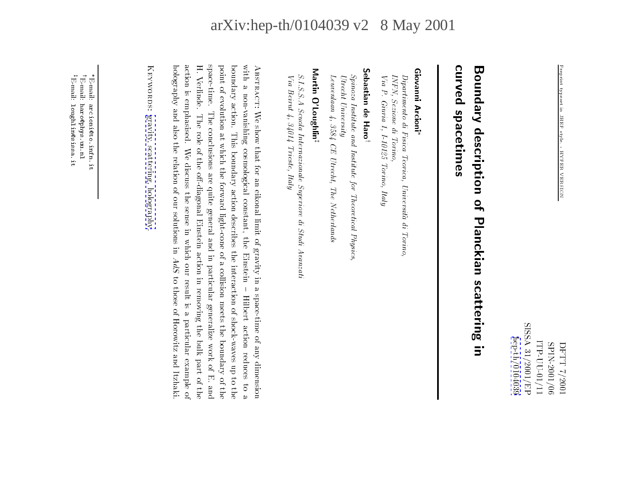SISSA 31/2001/EP SISSA 31<br>SISSA 31<br>SISSA 31 hep-th/0104039 hep-th-th-th-ce-th-ce-th-ITP-UU-01/11 ITP-UU-02<br>UU-01<br>ITP-UU-01 **SPIN-2001/06** PFTT 7/2001 SPIN-2001/06DFTT 7/2001

# curved spacetimes curved spacetimes spacetimes and Boundary description of Planckian scattering in Boundary description of Planckian scattering in

### Giovanni Arcioni\* Giovanni Arcioni

Via P. Giuria 1, 1-10125 Torino, Italy INFN, Sezione di Torino, INFN, Sezione di Torino,Dipartimento di Fisica Teorica, Università di Torino, Dipartimento di Fisica Teorica, Universitadi Torino,

Sebastian de Haro<sup>†</sup>

Sebastian de Haroy

Via P. Giuria 1, I-10125 Torino, Italy

Lewenlaan  $4$ ,  $3584$  CE Utrecht, The Netherlands Leuvenlaan 4, 3584 CE Utrecht, The Netherlands and The Netherlands and The Netherlands and The Netherlands and The Netherlands and The Netherlands and The Netherlands and The Netherlands and The Netherlands and The Netherl Utrecht University<br>Utrecht University<br>Utrecht University Spinoza Institute and Institute for Theoretical Physics, Spinoza Institute and Institute for Theoretical Physics,Utrecht University

## Martin O'Loughlin<sup>‡</sup> Martin O'Loughlinz

Via Beirut 4, 34014 Trieste, Italy Via Beirut 4, 34014 Trieste, Italy $SLS.2$  Scuola Internazionale Superiore di Studi Avanzati S.I.S.S.A Scuola Internazionale Superiore di Studi Avanzati

action is emphasised. We discuss the sense in which our result is a particular example of H. Verlinde. The role of the off-diagonal Einstein action in removing the bulk part of the space-time. The conclusions are quite general and in particular generalize work of E. and with a non-vanishing cosmological constant, the Einstein - Hilbert action reduces to a holography and also the relation of our solutions in AdS to those of Horowitz and Itzhaki. point of evolution at which the forward light-cone of a collision meets the boundary of the boundary action. This boundary action describes the interaction of shock-waves up to the ABSTRACT: We show that for an eikonal limit of gravity in a space-time of any dimension holography and also the relation of our solutions inaction is emphasised. We discuss the sense in which our result is a particular example ofH. Verlinde. The role of the o-diagonal Einstein action in removing the bulk part of thespace-time. The conclusions are quite general and in particular generalize work of E. andpoint of evolution at which the forward light-cone of a collision meets the boundary of theboundary action. This boundary action describes the interaction of shock-waves up to the $y'$  a non-vanishing constant, the  $E$ Abstract: We show that for an eikonal limit of gravity in a space-time of any dimensionAdS

KEYWORDS: gravity, scattering, holography. Keywords:[gravity, scattering, holography](http://jhep.sissa.it/stdsearch?keywords=gravity+scattering+holography).

zE-mail:

loughlin@sissa.it

 $^{\rm tE-mail.}$  $*E$ -mail: arcioni@to.infn.it  $\mathbb{E} \mathbb{E} \mathbb{E}$ <sup>† E-mail:</sup> loughlin@sissa.it yE-mail:haro@phys.uu.nl haro@phys.uu.nlarcioni@to.infn.it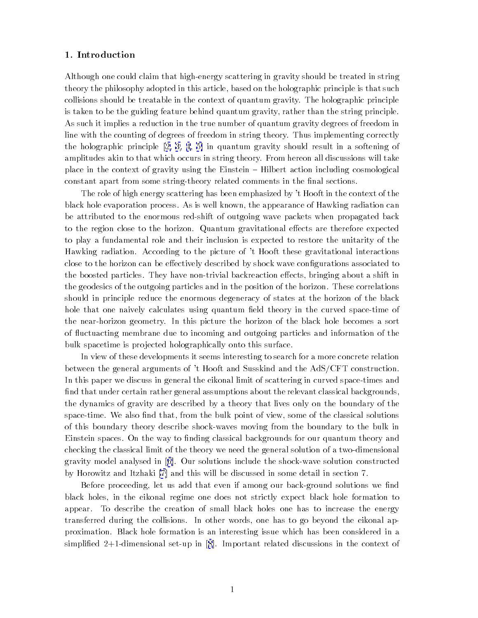### 1. Introduction

Although one could claim that high-energy scattering in gravity should be treated in string theory the philosophy adopted in this article, based on the holographic principle is that such collisions should be treatable in the context of quantum gravity. The holographic principle is taken to be the guiding feature behind quantum gravity, rather than the string principle. As such it implies a reduction in the true number of quantum gravity degrees of freedom in line with the counting of degrees of freedom in string theory. Thus implementing correctly the holographic principle [\[2, 3, 4](#page-26-0), [5\]](#page-26-0) in quantum gravity should result in a softening of amplitudes akin to that which occurs in string theory. From hereon all discussions will take place in the context of gravity using the Einstein – Hilbert action including cosmological constant apart from some string-theory related comments in the final sections.

The role of high energy scattering has been emphasized by 't Hooft in the context of the black hole evaporation process. As is well known, the appearance of Hawking radiation can be attributed to the enormous red-shift of outgoing wave packets when propagated back to the region close to the horizon. Quantum gravitational effects are therefore expected to play a fundamental role and their inclusion is expected to restore the unitarity of the Hawking radiation. According to the picture of 't Hooft these gravitational interactions close to the horizon can be effectively described by shock wave configurations associated to the boosted particles. They have non-trivial backreaction effects, bringing about a shift in the geodesics of the outgoing particles and in the position of the horizon. These correlations should in principle reduce the enormous degeneracy of states at the horizon of the black hole that one naively calculates using quantum field theory in the curved space-time of the near-horizon geometry. In this picture the horizon of the black hole becomes a sort of 
uctuacting membrane due to incoming and outgoing particles and information of the bulk spacetime is projected holographically onto this surface.

In view of these developments it seems interesting to search for a more concrete relation between the general arguments of 't Hooft and Susskind and the AdS/CFT construction. In this paper we discuss in general the eikonal limit of scattering in curved space-times and find that under certain rather general assumptions about the relevant classical backgrounds, the dynamics of gravity are described by a theory that lives only on the boundary of the space-time. We also find that, from the bulk point of view, some of the classical solutions of this boundary theory describe shock-waves moving from the boundary to the bulk in Einstein spaces. On the way to finding classical backgrounds for our quantum theory and checking the classical limit of the theory we need the general solution of a two-dimensional gravity model analysed in [[6](#page-26-0)]. Our solutions include the shock-wave solution constructed by Horowitz and Itzhaki [\[7\]](#page-26-0) and this will be discussed in some detail in section 7.

Before proceeding, let us add that even if among our back-ground solutions we find black holes, in the eikonal regime one does not strictly expect black hole formation to appear. To describe the creation of small black holes one has to increase the energy transferred during the collisions. In other words, one has to go beyond the eikonal approximation. Black hole formation is an interesting issue which has been considered in a simplified  $2+1$ -dimensional set-up in [[8](#page-26-0)]. Important related discussions in the context of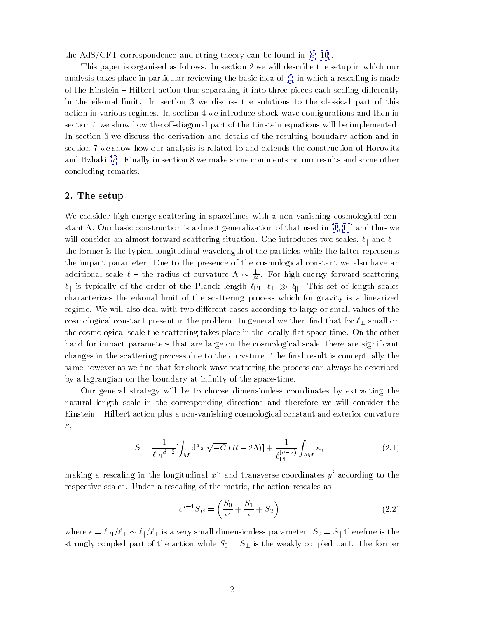the AdS/CFT correspondence and string theory can be found in [\[9, 10](#page-26-0)].

This paper is organised as follows. In section 2 we will describe the setup in which our analysis takes place in particular reviewing the basic idea of [[1](#page-26-0)] in which a rescaling is made of the Einstein  $-$  Hilbert action thus separating it into three pieces each scaling differently in the eikonal limit. In section 3 we discuss the solutions to the classical part of this action in various regimes. In section 4 we introduce shock-wave congurations and then in section 5 we show how the off-diagonal part of the Einstein equations will be implemented. In section 6 we discuss the derivation and details of the resulting boundary action and in section 7 we show how our analysis is related to and extends the construction of Horowitz and Itzhaki [\[7\]](#page-26-0). Finally in section 8 we make some comments on our results and some other concluding remarks.

### 2. The setup

We consider high-energy scattering in spacetimes with a non vanishing cosmological constant  $\Lambda$ . Our basic construction is a direct generalization of that used in [\[1, 11\]](#page-26-0) and thus we will consider an almost forward situation. One introduces two metals, with  $\alpha$  and  $\alpha$   $\pm$  . the former is the typical longitudinal wavelength of the particles while the latter represents the impact parameter. Due to the presence of the cosmological constant we also have an additional scale  $\ell$  – the radius of curvature  $\Lambda \sim \frac{1}{\ell^2}$ . For high-energy forward scattering  $\ell_{||}$  is typically of the order of the Planck length  $\ell_{\text{Pl}}, \ell_{\perp} \gg \ell_{||}.$  This set of length scales characterizes the eikonal limit of the scattering process which for gravity is a linearized regime. We will also deal with two different cases according to large or small values of the cosmological constant present in the problem. In general we then find that for  $\ell_{\perp}$  small on the cosmological scale the scattering takes place in the locally 
at space-time. On the other hand for impact parameters that are large on the cosmological scale, there are significant changes in the scattering process due to the curvature. The final result is conceptually the same however as we find that for shock-wave scattering the process can always be described by a lagrangian on the boundary at infinity of the space-time.

Our general strategy will be to choose dimensionless coordinates by extracting the natural length scale in the corresponding directions and therefore we will consider the Einstein { Hilbert action plus a non-vanishing cosmological constant and exterior curvature  $\kappa,$ 

$$
S = \frac{1}{\ell_{\text{Pl}}^{d-2}} \left[ \int_M \mathrm{d}^d x \sqrt{-G} \left( R - 2\Lambda \right) \right] + \frac{1}{\ell_{\text{Pl}}^{(d-2)}} \int_{\partial M} \kappa,\tag{2.1}
$$

making a rescaling in the longitudinal  $x^{\sim}$  and transverse coordinates  $y^{\sim}$  according to the respective scales. Under a rescaling of the metric, the action rescales as

$$
\epsilon^{d-4} S_E = \left(\frac{S_0}{\epsilon^2} + \frac{S_1}{\epsilon} + S_2\right) \tag{2.2}
$$

where  $\epsilon = \ell_{\text{Pl}}/\ell_{\perp} \sim \ell_{\parallel}/\ell_{\perp}$  is a very small dimensionless parameter.  $S_2 = S_{\parallel}$  therefore is the strongly coupled part of the action while  $S_0 = S_{\perp}$  is the weakly coupled part. The former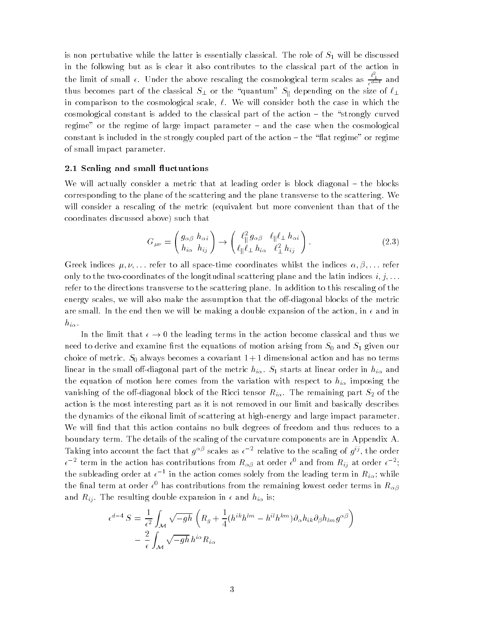is non pertubative while the latter is essentially classical. The role of  $S_1$  will be discussed in the following but as is clear it also contributes to the classical part of the action in the limit of small  $\epsilon$ . Under the above rescaling the cosmological term scales as  $\frac{\ell_1}{\epsilon^{d-4}}$  and thus becomes part of the classical  $S_{\perp}$  or the "quantum"  $S_{\parallel}$  depending on the size of  $\ell_{\perp}$ in comparison to the cosmological scale,  $\ell$ . We will consider both the case in which the cosmological constant is added to the classical part of the action  $-$  the "strongly curved regime" or the regime of large impact parameter – and the case when the cosmological constant is included in the strongly coupled part of the action  $-$  the "flat regime" or regime of small impact parameter.

### 2.1 Scaling and small fluctuations

We will actually consider a metric that at leading order is block diagonal  $-$  the blocks corresponding to the plane of the scattering and the plane transverse to the scattering. We will consider a rescaling of the metric (equivalent but more convenient than that of the coordinates discussed above) such that

$$
G_{\mu\nu} = \begin{pmatrix} g_{\alpha\beta} & h_{\alpha i} \\ h_{i\alpha} & h_{ij} \end{pmatrix} \rightarrow \begin{pmatrix} \ell_{\parallel}^2 g_{\alpha\beta} & \ell_{\parallel} \ell_{\perp} & h_{\alpha i} \\ \ell_{\parallel} \ell_{\perp} & h_{i\alpha} & \ell_{\perp}^2 & h_{ij} \end{pmatrix}.
$$
 (2.3)

Greek indices  $\mu, \nu, \ldots$  refer to all space-time coordinates whilst the indices  $\alpha, \beta, \ldots$  refer only to the two-coordinates of the longitudinal scattering plane and the latin indices  $i, j, \ldots$ refer to the directions transverse to the scattering plane. In addition to this rescaling of the energy scales, we will also make the assumption that the off-diagonal blocks of the metric are small. In the end then we will be making a double expansion of the action, in  $\epsilon$  and in  $h_{i\alpha}$ .

In the limit that  $\epsilon \to 0$  the leading terms in the action become classical and thus we need to derive and examine first the equations of motion arising from  $S_0$  and  $S_1$  given our choice of metric.  $S_0$  always becomes a covariant  $1+1$  dimensional action and has no terms linear in the small off-diagonal part of the metric  $h_{i\alpha}$ .  $S_1$  starts at linear order in  $h_{i\alpha}$  and the equation of motion here comes from the variation with respect to hi imposing the vanishing of the off-diagonal block of the Ricci tensor  $R_{i\alpha}$ . The remaining part  $S_2$  of the action is the most interesting part as it is not removed in our limit and basically describes the dynamics of the eikonal limit of scattering at high-energy and large impact parameter. We will find that this action contains no bulk degrees of freedom and thus reduces to a boundary term. The details of the scaling of the curvature components are in Appendix A. Taking into account the fact that  $q^{\sim}$  scales as  $\epsilon$  - relative to the scaling of  $q^{\sim}$ , the order  $\epsilon$  = term in the action has contributions from  $R_{\alpha\beta}$  at order  $\epsilon$  and from  $R_{ij}$  at order  $\epsilon$  =; the subleading order at  $\epsilon$  – in the action comes solely from the leading term in  $R_{i\alpha}$ ; while the final term at order  $\epsilon^*$  has contributions from the remaining lowest order terms in  $K_{\alpha\beta}$ and Rij . The resulting double expansion in . The resulting  $\alpha$ 

$$
\epsilon^{d-4} S = \frac{1}{\epsilon^2} \int_{\mathcal{M}} \sqrt{-gh} \left( R_g + \frac{1}{4} (h^{ik} h^{lm} - h^{il} h^{km}) \partial_{\alpha} h_{ik} \partial_{\beta} h_{lm} g^{\alpha \beta} \right) - \frac{2}{\epsilon} \int_{\mathcal{M}} \sqrt{-gh} h^{i\alpha} R_{i\alpha}
$$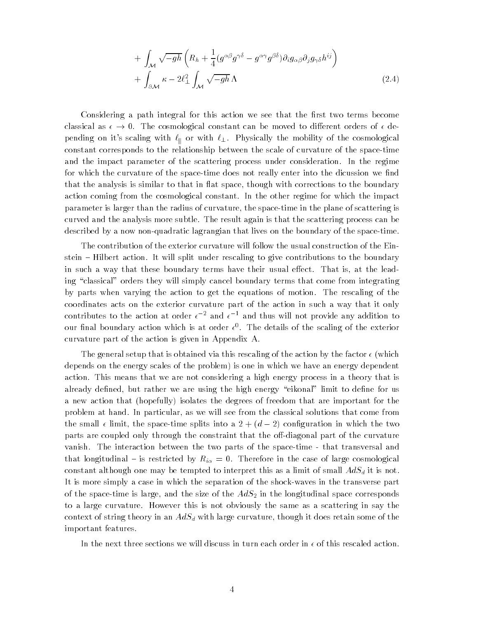$$
+\int_{\mathcal{M}}\sqrt{-gh}\left(R_h+\frac{1}{4}(g^{\alpha\beta}g^{\gamma\delta}-g^{\alpha\gamma}g^{\beta\delta})\partial_ig_{\alpha\beta}\partial_jg_{\gamma\delta}h^{ij}\right) +\int_{\partial\mathcal{M}}\kappa-2\ell_{\perp}^2\int_{\mathcal{M}}\sqrt{-gh}\,\Lambda
$$
\n(2.4)

Considering a path integral for this action we see that the first two terms become classical as  $\epsilon \to 0$ . The cosmological constant can be moved to different orders of  $\epsilon$  depending on it's scaling with  $\ell_{\rm II}$  or with  $\ell_{\rm \perp}$ . Physically the mobility of the cosmological constant corresponds to the relationship between the scale of curvature of the space-time and the impact parameter of the scattering process under consideration. In the regime for which the curvature of the space-time does not really enter into the dicussion we find that the analysis is similar to that in flat space, though with corrections to the boundary action coming from the cosmological constant. In the other regime for which the impact parameter is larger than the radius of curvature, the space-time in the plane of scattering is curved and the analysis more subtle. The result again is that the scattering process can be described by a now non-quadratic lagrangian that lives on the boundary of the space-time.

The contribution of the exterior curvature will follow the usual construction of the Einstein – Hilbert action. It will split under rescaling to give contributions to the boundary in such a way that these boundary terms have their usual effect. That is, at the leading "classical" orders they will simply cancel boundary terms that come from integrating by parts when varying the action to get the equations of motion. The rescaling of the coordinates acts on the exterior curvature part of the action in such a way that it only contributes to the action at order  $\epsilon^{-2}$  and  $\epsilon^{-1}$  and thus will not provide any addition to our inial boundary action which is at order  $\epsilon$  . The details of the scaling of the exterior curvature part of the action is given in Appendix A.

The general setup that is obtained via this rescaling of the action by the factor  $\epsilon$  (which depends on the energy scales of the problem) is one in which we have an energy dependent action. This means that we are not considering a high energy process in a theory that is already defined, but rather we are using the high energy "eikonal" limit to define for us a new action that (hopefully) isolates the degrees of freedom that are important for the problem at hand. In particular, as we will see from the classical solutions that come from the small  $\epsilon$  limit, the space-time splits into a  $2 + (d - 2)$  configuration in which the two parts are coupled only through the constraint that the off-diagonal part of the curvature vanish. The interaction between the two parts of the space-time - that transversal and that longitudinal field by Ri  $\mathcal{L} = 0.01$  and  $\mathcal{L} = 0.01$  and cosmological cosmological cosmological cosmological cosmological cosmological cosmological cosmological cosmological cosmological cosmological cosmologic constant although one may be tempted to interpret this as a limit of small AdSd it small  $\mu$  is not as a limit It is more simply a case in which the separation of the shock-waves in the transverse part of the space-time is large, and the size of the  $AdS_2$  in the longitudinal space corresponds to a large curvature. However this is not obviously the same as a scattering in say the context of string theory in an AdSd with large curvature, theory in an AdSd with it does retain some of the th important features.

In the next three sections we will discuss in turn each order in  $\epsilon$  of this rescaled action.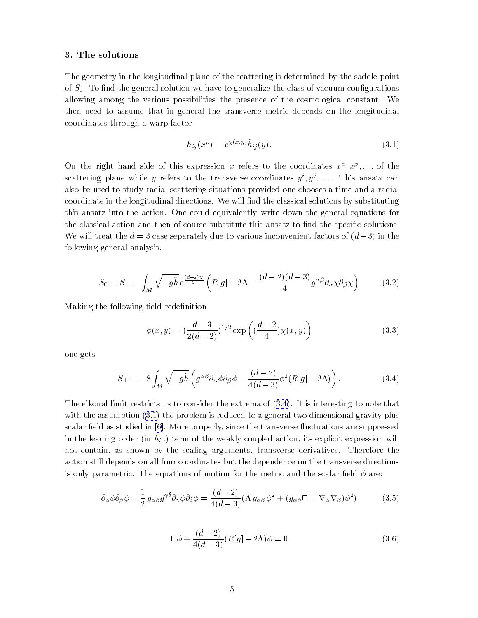### <span id="page-5-0"></span>3. The solutions

The geometry in the longitudinal plane of the scattering is determined by the saddle point of  $S<sub>0</sub>$ . To find the general solution we have to generalize the class of vacuum configurations allowing among the various possibilities the presence of the cosmological constant. We then need to assume that in general the transverse metric depends on the longitudinal coordinates through a warp factor

$$
h_{ij}(x^{\mu}) = e^{\chi(x,y)} \tilde{h}_{ij}(y). \tag{3.1}
$$

On the right hand side of this expression  $x$  refers to the coordinates  $x^{\sim}, x^{\sim}, \ldots$  of the scattering plane while  $y$  refers to the transverse coordinates  $y^*, y^*, \ldots$  . Inis ansatz can also be used to study radial scattering situations provided one chooses a time and a radial coordinate in the longitudinal directions. We will find the classical solutions by substituting this ansatz into the action. One could equivalently write down the general equations for the classical action and then of course substitute this ansatz to find the specific solutions. We will treat the  $d = 3$  case separately due to various inconvenient factors of  $(d-3)$  in the following general analysis.

$$
S_0 = S_{\perp} = \int_M \sqrt{-g\tilde{h}} \, e^{\frac{(d-2)\chi}{2}} \left( R[g] - 2\Lambda - \frac{(d-2)(d-3)}{4} g^{\alpha\beta} \partial_\alpha \chi \partial_\beta \chi \right) \tag{3.2}
$$

Making the following field redefinition

$$
\phi(x,y) = \left(\frac{d-3}{2(d-2)}\right)^{1/2} \exp\left(\left(\frac{d-2}{4}\right)\chi(x,y)\right) \tag{3.3}
$$

one gets

$$
S_{\perp} = -8 \int_{M} \sqrt{-g\tilde{h}} \left( g^{\alpha\beta} \partial_{\alpha}\phi \partial_{\beta}\phi - \frac{(d-2)}{4(d-3)} \phi^{2} (R[g] - 2\Lambda) \right). \tag{3.4}
$$

The eikonal limit restricts us to consider the extrema of (3.4). It is interesting to note that with the assumption (3.1) the problem is reduced to a general two-dimensional gravity plus scalar field as studied in  $[6]$ . More properly, since the transverse fluctuations are suppressed in the leading order (in  $h_{i\alpha}$ ) term of the weakly coupled action, its explicit expression will not contain, as shown by the scaling arguments, transverse derivatives. Therefore the action still depends on all four coordinates but the dependence on the transverse directions is only parametric. The equations of motion for the metric and the scalar field  $\phi$  are:

$$
\partial_{\alpha}\phi\partial_{\beta}\phi - \frac{1}{2}g_{\alpha\beta}g^{\gamma\delta}\partial_{\gamma}\phi\partial_{\delta}\phi = \frac{(d-2)}{4(d-3)}(\Lambda g_{\alpha\beta}\phi^2 + (g_{\alpha\beta}\Box - \nabla_{\alpha}\nabla_{\beta})\phi^2)
$$
(3.5)

$$
\Box \phi + \frac{(d-2)}{4(d-3)} (R[g] - 2\Lambda)\phi = 0
$$
\n(3.6)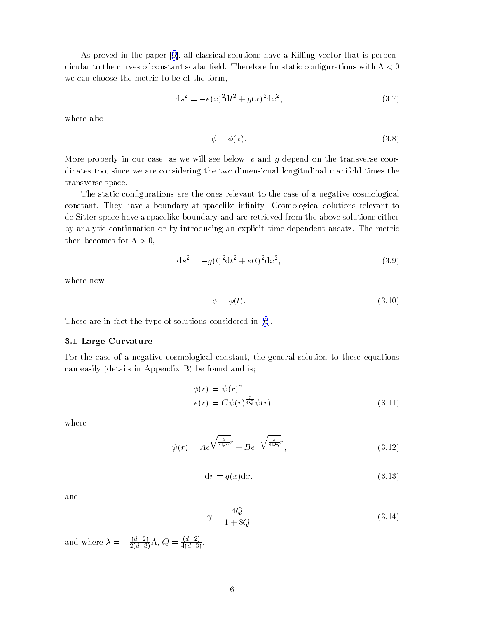<span id="page-6-0"></span>As proved in the paper [[6\]](#page-26-0), all classical solutions have a Killing vector that is perpendicular to the curves of constant scalar field. Therefore for static configurations with  $\Lambda < 0$ we can choose the metric to be of the form,

$$
ds^{2} = -e(x)^{2}dt^{2} + g(x)^{2}dx^{2},
$$
\n(3.7)

where also

$$
\phi = \phi(x). \tag{3.8}
$$

More properly in our case, as we will see below,  $e$  and  $g$  depend on the transverse coordinates too, since we are considering the two dimensional longitudinal manifold times the transverse space.

The static configurations are the ones relevant to the case of a negative cosmological constant. They have a boundary at spacelike infinity. Cosmological solutions relevant to de Sitter space have a spacelike boundary and are retrieved from the above solutions either by analytic continuation or by introducing an explicit time-dependent ansatz. The metric then becomes for  $\Lambda > 0$ ,

$$
ds^{2} = -g(t)^{2}dt^{2} + e(t)^{2}dx^{2},
$$
\n(3.9)

where now

$$
\phi = \phi(t). \tag{3.10}
$$

These are in fact the type of solutions considered in [[6](#page-26-0)].

### 3.1 Large Curvature

For the case of a negative cosmological constant, the general solution to these equations can easily (details in Appendix B) be found and is;

$$
\begin{aligned} \phi(r) &= \psi(r)^\gamma \\ e(r) &= C\psi(r)^{\frac{\gamma}{4Q}}\dot{\psi}(r) \end{aligned} \tag{3.11}
$$

where

$$
\psi(r) = Ae^{\sqrt{\frac{\lambda}{4Q\gamma}}r} + Be^{-\sqrt{\frac{\lambda}{4Q\gamma}}r},\tag{3.12}
$$

$$
\mathrm{d}r = g(x)\mathrm{d}x,\tag{3.13}
$$

and

$$
\gamma = \frac{4Q}{1 + 8Q} \tag{3.14}
$$

and where  $\lambda = -\frac{\sqrt{a-2}}{2(d-3)}\Lambda$ ,  $Q = \frac{\sqrt{a-2}}{4(d-3)}$ .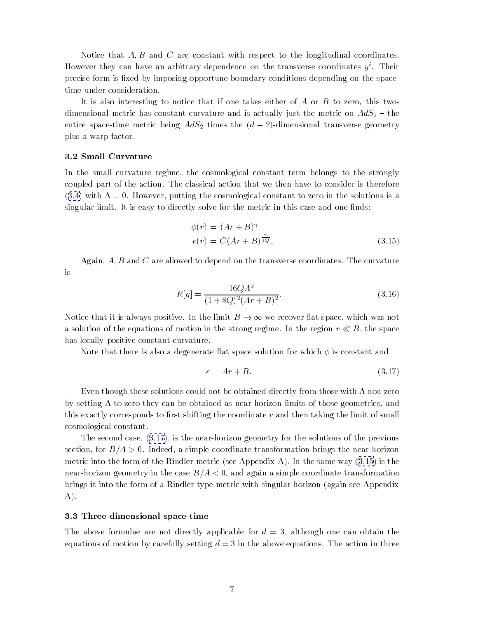Notice that  $A, B$  and  $C$  are constant with respect to the longitudinal coordinates. However they can have an arbitrary dependence on the transverse coordinates  $y$  . Their precise form is fixed by imposing opportune boundary conditions depending on the spacetime under consideration.

It is also interesting to notice that if one takes either of A or B to zero, this twodimensional metric has constant curvature and is actually just the metric on  $AdS_2$  – the entire space-time metric being  $AdS_2$  times the  $(d-2)$ -dimensional transverse geometry plus a warp factor.

### 3.2 Small Curvature

In the small curvature regime, the cosmological constant term belongs to the strongly coupled part of the action. The classical action that we then have to consider is therefore  $(3.4)$  $(3.4)$  with  $\Lambda = 0$ . However, putting the cosmological constant to zero in the solutions is a singular limit. It is easy to directly solve for the metric in this case and one finds:

$$
\begin{aligned} \phi(r) &= (Ar + B)^\gamma \\ e(r) &= C(Ar + B)^{\frac{\gamma}{4Q}}, \end{aligned} \tag{3.15}
$$

Again,  $A, B$  and  $C$  are allowed to depend on the transverse coordinates. The curvature is

$$
R[g] = \frac{16QA^2}{(1+8Q)^2(Ar+B)^2}.
$$
\n(3.16)

Notice that it is always positive. In the limit  $B \to \infty$  we recover flat space, which was not a solution of the equations of motion in the strong regime. In the region  $r \ll B$ , the space has locally positive constant curvature.

Note that there is also a degenerate flat space solution for which  $\phi$  is constant and

$$
e = Ar + B. \tag{3.17}
$$

Even though these solutions could not be obtained directly from those with  $\Lambda$  non-zero by setting  $\Lambda$  to zero they can be obtained as near-horizon limits of those geometries, and this exactly corresponds to first shifting the coordinate  $r$  and then taking the limit of small cosmological constant.

The second case, (3.17), is the near-horizon geometry for the solutions of the previous section, for  $B/A > 0$ . Indeed, a simple coordinate transformation brings the near-horizon metric into the form of the Rindler metric (see Appendix A). In the same way (3.15) is the near-horizon geometry in the case  $B/A < 0$ , and again a simple coordinate transformation brings it into the form of a Rindler type metric with singular horizon (again see Appendix A).

### 3.3 Three-dimensional space-time

The above formulae are not directly applicable for  $d = 3$ , although one can obtain the equations of motion by carefully setting  $d = 3$  in the above equations. The action in three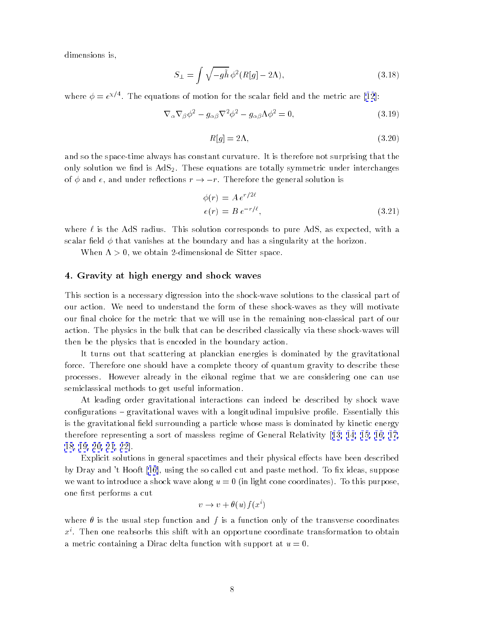dimensions is,

$$
S_{\perp} = \int \sqrt{-g\tilde{h}} \,\phi^2(R[g] - 2\Lambda),\tag{3.18}
$$

where  $\phi = e^{\lambda t}$  . The equations of motion for the scalar field and the metric are [\[12](#page-26-0)]:

$$
\nabla_{\alpha}\nabla_{\beta}\phi^2 - g_{\alpha\beta}\nabla^2\phi^2 - g_{\alpha\beta}\Lambda\phi^2 = 0, \qquad (3.19)
$$

$$
R[g] = 2\Lambda,\tag{3.20}
$$

and so the space-time always has constant curvature. It is therefore not surprising that the only solution we find is  $AdS_2$ . These equations are totally symmetric under interchanges of  $\phi$  and e, and under reflections  $r \rightarrow -r$ . Therefore the general solution is

$$
\phi(r) = A e^{r/2\ell}
$$
  
\n
$$
e(r) = B e^{-r/\ell},
$$
\n(3.21)

where  $\ell$  is the AdS radius. This solution corresponds to pure AdS, as expected, with a scalar field  $\phi$  that vanishes at the boundary and has a singularity at the horizon.

When  $\Lambda > 0$ , we obtain 2-dimensional de Sitter space.

### 4. Gravity at high energy and shock waves

This section is a necessary digression into the shock-wave solutions to the classical part of our action. We need to understand the form of these shock-waves as they will motivate our final choice for the metric that we will use in the remaining non-classical part of our action. The physics in the bulk that can be described classically via these shock-waves will then be the physics that is encoded in the boundary action.

It turns out that scattering at planckian energies is dominated by the gravitational force. Therefore one should have a complete theory of quantum gravity to describe these processes. However already in the eikonal regime that we are considering one can use semiclassical methods to get useful information.

At leading order gravitational interactions can indeed be described by shock wave configurations – gravitational waves with a longitudinal impulsive profile. Essentially this is the gravitational field surrounding a particle whose mass is dominated by kinetic energy therefore representing a sort of massless regime of General Relativity [[13, 14, 15,](#page-26-0) [16, 17,](#page-27-0) [18](#page-27-0), [19, 20, 21, 22\]](#page-27-0).

Explicit solutions in general spacetimes and their physical effects have been described by Dray and 't Hooft [\[16](#page-27-0)], using the so called cut and paste method. To fix ideas, suppose we want to introduce a shock wave along  $u = 0$  (in light cone coordinates). To this purpose, one first performs a cut

$$
v \to v + \theta(u) f(x^i)
$$

where  $\theta$  is the usual step function and f is a function only of the transverse coordinates  $x<sup>i</sup>$ . Then one reabsorbs this shift with an opportune coordinate transformation to obtain a metric containing a Dirac delta function with support at  $u=0$ .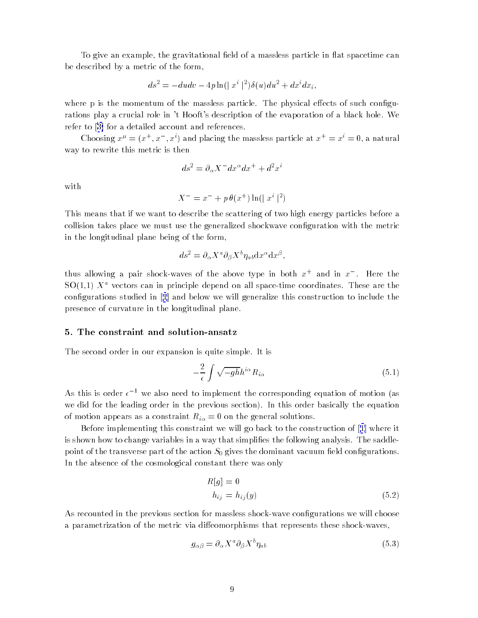<span id="page-9-0"></span>To give an example, the gravitational field of a massless particle in flat spacetime can be described by a metric of the form,

$$
ds^{2} = -du dv - 4p \ln(|x^{i}|^{2}) \delta(u) du^{2} + dx^{i} dx_{i},
$$

where  $p$  is the momentum of the massless particle. The physical effects of such configurations play a crucial role in 't Hooft's description of the evaporation of a black hole. We refer to [\[3\]](#page-26-0) for a detailed account and references.

Choosing  $x^2 = (x^+, x^-, x^*)$  and placing the massless particle at  $x^+ = x^+ = 0$ , a natural way to rewrite this metric is then

$$
ds^2 = \partial_{\alpha} X^{-} dx^{\alpha} dx^{\dagger} + d^2 x^i
$$

with

$$
X^{-} = x^{-} + p \theta(x^{+}) \ln(|x^{i}|^{2})
$$

This means that if we want to describe the scattering of two high energy particles before a collision takes place we must use the generalized shockwave conguration with the metric in the longitudinal plane being of the form,

$$
ds^2 = \partial_{\alpha} X^a \partial_{\beta} X^b \eta_{ab} \mathrm{d} x^{\alpha} \mathrm{d} x^{\beta},
$$

thus allowing a pair shock-waves of the above type in both  $x+$  and in  $x$  . Here the  $SO(1,1)$   $X^a$  vectors can in principle depend on all space-time coordinates. These are the congurations studied in [[1\]](#page-26-0) and below we will generalize this construction to include the presence of curvature in the longitudinal plane.

### 5. The constraint and solution-ansatz

The second order in our expansion is quite simple. It is

$$
-\frac{2}{\epsilon} \int \sqrt{-gh} h^{i\alpha} R_{i\alpha} \tag{5.1}
$$

As this is order  $\epsilon^{-1}$  we also need to implement the corresponding equation of motion (as we did for the leading order in the previous section). In this order basically the equation of motion appears as a constraint  $\alpha$  =  $\alpha$  on the general solutions. The general solutions. The general solutions.

Before implementing this constraint we will go back to the construction of [[1](#page-26-0)] where it is shown how to change variables in a way that simplifies the following analysis. The saddlepoint of the transverse part of the action  $S_0$  gives the dominant vacuum field configurations. In the absence of the cosmological constant there was only

$$
R[g] = 0
$$
  

$$
h_{ij} = h_{ij}(y)
$$
 (5.2)

As recounted in the previous section for massless shock-wave configurations we will choose a parametrization of the metric via diffeomorphisms that represents these shock-waves,

$$
g_{\alpha\beta} = \partial_{\alpha} X^a \partial_{\beta} X^b \eta_{ab} \tag{5.3}
$$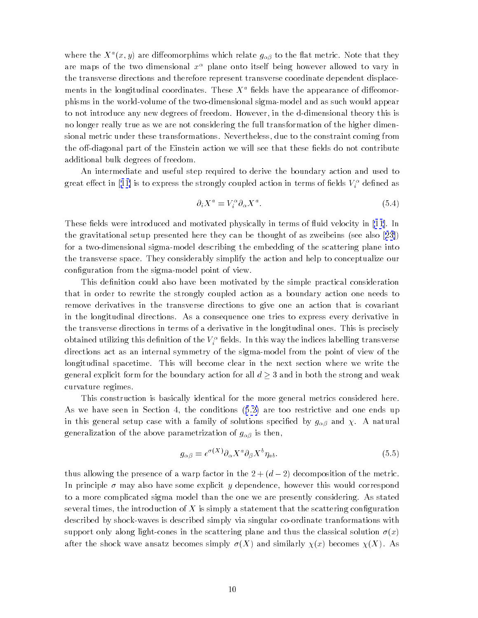where the  $X^*(x,y)$  are diffeomorphims which relate  $g_{\alpha\beta}$  to the flat metric. Note that they are maps of the two dimensional  $x^{\alpha}$  plane onto itself being however allowed to vary in the transverse directions and therefore represent transverse coordinate dependent displacements in the longitudinal coordinates. These  $X^a$  fields have the appearance of diffeomorphisms in the world-volume of the two-dimensional sigma-model and as such would appear to not introduce any new degrees of freedom. However, in the d-dimensional theory this is no longer really true as we are not considering the full transformation of the higher dimensional metric under these transformations. Nevertheless, due to the constraint coming from the off-diagonal part of the Einstein action we will see that these fields do not contribute additional bulk degrees of freedom.

An intermediate and useful step required to derive the boundary action and used to great enect in [[11\]](#page-26-0) is to express the strongly coupled action in terms of helds  $V_i^\pi$  denned as

$$
\partial_i X^a = V_i^{\alpha} \partial_{\alpha} X^a. \tag{5.4}
$$

These fields were introduced and motivated physically in terms of fluid velocity in [\[11](#page-26-0)]. In the gravitational setup presented here they can be thought of as zweibeins (see also [[23\]](#page-27-0)) for a two-dimensional sigma-model describing the embedding of the scattering plane into the transverse space. They considerably simplify the action and help to conceptualize our conguration from the sigma-model point of view.

This definition could also have been motivated by the simple practical consideration that in order to rewrite the strongly coupled action as a boundary action one needs to remove derivatives in the transverse directions to give one an action that is covariant in the longitudinal directions. As a consequence one tries to express every derivative in the transverse directions in terms of a derivative in the longitudinal ones. This is precisely obtained utilizing this definition of the  $V_i^+$  neids. In this way the indices labelling transverse idirections act as an internal symmetry of the sigma-model from the point of view of the longitudinal spacetime. This will become clear in the next section where we write the general explicit form for the boundary action for all  $d \geq 3$  and in both the strong and weak curvature regimes.

This construction is basically identical for the more general metrics considered here. As we have seen in Section 4, the conditions ([5.2\)](#page-9-0) are too restrictive and one ends up in this general setup case with a family of solutions specific  $\alpha$  guy and  $\Lambda$  natural  $\alpha$  $\Gamma$  above parametrization of the above parametrization of  $\Gamma$ 

$$
g_{\alpha\beta} = e^{\sigma(X)} \partial_{\alpha} X^a \partial_{\beta} X^b \eta_{ab}.
$$
\n(5.5)

thus allowing the presence of a warp factor in the  $2 + (d - 2)$  decomposition of the metric. In principle  $\sigma$  may also have some explicit y dependence, however this would correspond to a more complicated sigma model than the one we are presently considering. As stated several times, the introduction of  $X$  is simply a statement that the scattering configuration described by shock-waves is described simply via singular co-ordinate tranformations with support only along light-cones in the scattering plane and thus the classical solution  $\sigma(x)$ after the shock wave ansatz becomes simply  $\sigma(X)$  and similarly  $\chi(x)$  becomes  $\chi(X)$ . As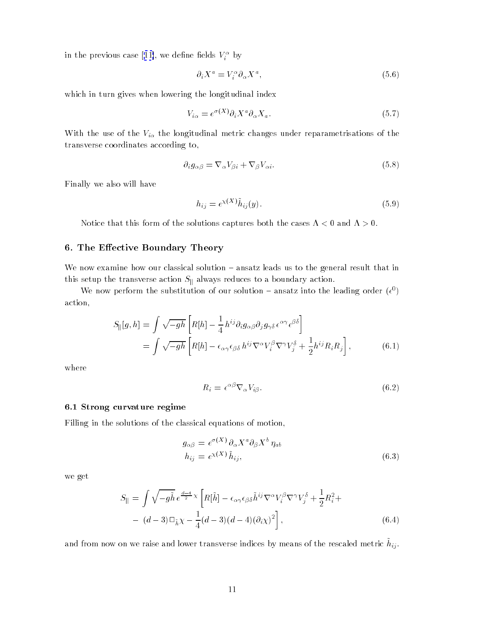in the previous case [[11\]](#page-26-0), we define fields  $V_i^\ast$  by

$$
\partial_i X^a = V_i^{\alpha} \partial_{\alpha} X^a, \tag{5.6}
$$

which in turn gives when lowering the longitudinal index

$$
V_{i\alpha} = e^{\sigma(X)} \partial_i X^a \partial_\alpha X_a. \tag{5.7}
$$

With the use of the via the via the via the Vi the longitudinal metric changes under representations of the via the via the via the via the via the via the via the via the via the via the via the via the via the via the v transverse coordinates according to,

$$
\partial_i g_{\alpha\beta} = \nabla_\alpha V_{\beta i} + \nabla_\beta V_{\alpha i}.\tag{5.8}
$$

Finally we also will have

$$
h_{ij} = e^{\chi(X)} \tilde{h}_{ij}(y). \tag{5.9}
$$

Notice that this form of the solutions captures both the cases  $\Lambda < 0$  and  $\Lambda > 0$ .

### 6. The Effective Boundary Theory

We now examine how our classical solution  $-$  ansatz leads us to the general result that in this setup the transverse action  $S_{\parallel}$  always reduces to a boundary action.

We now perform the substitution of our solution  $-$  ansatz into the leading order ( $\epsilon^*$ ) action,

$$
S_{\parallel}[g,h] = \int \sqrt{-gh} \left[ R[h] - \frac{1}{4} h^{ij} \partial_i g_{\alpha\beta} \partial_j g_{\gamma\delta} \epsilon^{\alpha\gamma} \epsilon^{\beta\delta} \right]
$$
  
= 
$$
\int \sqrt{-gh} \left[ R[h] - \epsilon_{\alpha\gamma} \epsilon_{\beta\delta} h^{ij} \nabla^{\alpha} V_i^{\beta} \nabla^{\gamma} V_j^{\delta} + \frac{1}{2} h^{ij} R_i R_j \right],
$$
 (6.1)

where

$$
R_i = \epsilon^{\alpha \beta} \nabla_\alpha V_{i\beta}.
$$
\n
$$
(6.2)
$$

### 6.1 Strong curvature regime

Filling in the solutions of the classical equations of motion,

$$
g_{\alpha\beta} = e^{\sigma(X)} \partial_{\alpha} X^a \partial_{\beta} X^b \eta_{ab}
$$
  

$$
h_{ij} = e^{\chi(X)} \tilde{h}_{ij},
$$
 (6.3)

we get

$$
S_{\parallel} = \int \sqrt{-g\tilde{h}} \, e^{\frac{d-4}{2}\chi} \left[ R[\tilde{h}] - \epsilon_{\alpha\gamma}\epsilon_{\beta\delta}\tilde{h}^{ij}\nabla^{\alpha}V_{i}^{\beta}\nabla^{\gamma}V_{j}^{\delta} + \frac{1}{2}R_{i}^{2} + (d-3)\Box_{\tilde{h}}\chi - \frac{1}{4}(d-3)(d-4)(\partial_{i}\chi)^{2} \right],
$$
\n(6.4)

and from now on we raise and lower transverse indices by means or the rescaled metric  $n_{ij}$ .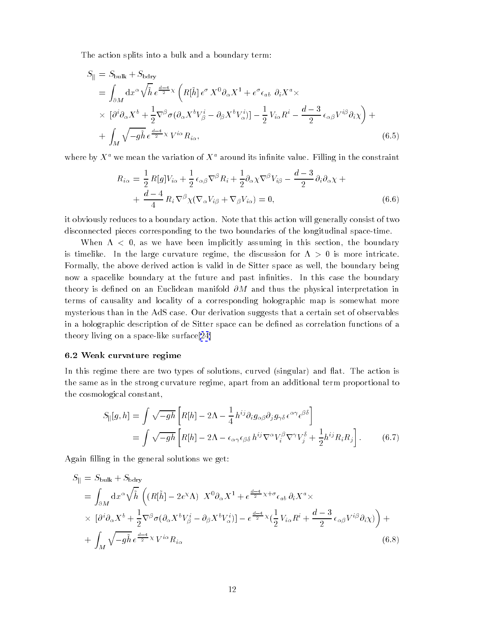<span id="page-12-0"></span>The action splits into a bulk and a boundary term:

$$
S_{\parallel} = S_{\text{bulk}} + S_{\text{bdry}}
$$
  
=  $\int_{\partial M} dx^{\alpha} \sqrt{\tilde{h}} e^{\frac{d-4}{2}\chi} \left( R[\tilde{h}] e^{\sigma} X^{0} \partial_{\alpha} X^{1} + e^{\sigma} \epsilon_{ab} \partial_{i} X^{a} \times$   
 $\times [\partial^{i} \partial_{\alpha} X^{b} + \frac{1}{2} \nabla^{\beta} \sigma (\partial_{\alpha} X^{b} V_{\beta}^{i} - \partial_{\beta} X^{b} V_{\alpha}^{i})] - \frac{1}{2} V_{i\alpha} R^{i} - \frac{d-3}{2} \epsilon_{\alpha\beta} V^{i\beta} \partial_{i} \chi \right) +$   
+  $\int_{M} \sqrt{-g} \tilde{h} e^{\frac{d-4}{2}\chi} V^{i\alpha} R_{i\alpha},$  (6.5)

where by  $X^a$  we mean the variation of  $X^a$  around its infinite value. Filling in the constraint

$$
R_{i\alpha} = \frac{1}{2} R[g] V_{i\alpha} + \frac{1}{2} \epsilon_{\alpha\beta} \nabla^{\beta} R_i + \frac{1}{2} \partial_{\alpha} \chi \nabla^{\beta} V_{i\beta} - \frac{d-3}{2} \partial_i \partial_{\alpha} \chi +
$$
  
+ 
$$
\frac{d-4}{4} R_i \nabla^{\beta} \chi (\nabla_{\alpha} V_{i\beta} + \nabla_{\beta} V_{i\alpha}) = 0,
$$
 (6.6)

it obviously reduces to a boundary action. Note that this action will generally consist of two disconnected pieces corresponding to the two boundaries of the longitudinal space-time.

When  $\Lambda < 0$ , as we have been implicitly assuming in this section, the boundary is timelike. In the large curvature regime, the discussion for  $\Lambda > 0$  is more intricate. Formally, the above derived action is valid in de Sitter space as well, the boundary being now a spacelike boundary at the future and past infinities. In this case the boundary theory is defined on an Euclidean manifold  $\partial M$  and thus the physical interpretation in terms of causality and locality of a corresponding holographic map is somewhat more mysterious than in the AdS case. Our derivation suggests that a certain set of observables in a holographic description of de Sitter space can be dened as correlation functions of a theory living on a space-like surface[\[24](#page-27-0)]

### 6.2 Weak curvature regime

In this regime there are two types of solutions, curved (singular) and flat. The action is the same as in the strong curvature regime, apart from an additional term proportional to the cosmological constant,

$$
S_{\parallel}[g,h] = \int \sqrt{-gh} \left[ R[h] - 2\Lambda - \frac{1}{4} h^{ij} \partial_i g_{\alpha\beta} \partial_j g_{\gamma\delta} \epsilon^{\alpha\gamma} \epsilon^{\beta\delta} \right]
$$
  
= 
$$
\int \sqrt{-gh} \left[ R[h] - 2\Lambda - \epsilon_{\alpha\gamma} \epsilon_{\beta\delta} h^{ij} \nabla^{\alpha} V_i^{\beta} \nabla^{\gamma} V_j^{\delta} + \frac{1}{2} h^{ij} R_i R_j \right].
$$
 (6.7)

Again filling in the general solutions we get:

$$
S_{\parallel} = S_{\text{bulk}} + S_{\text{bdry}}
$$
  
=  $\int_{\partial M} dx^{\alpha} \sqrt{\tilde{h}} \left( (R[\tilde{h}] - 2e^{\chi} \Lambda) X^{0} \partial_{\alpha} X^{1} + e^{\frac{d-4}{2} \chi + \sigma} \epsilon_{ab} \partial_{i} X^{a} \times X^{0} \right)$   
 $\times [\partial^{i} \partial_{\alpha} X^{b} + \frac{1}{2} \nabla^{\beta} \sigma (\partial_{\alpha} X^{b} V_{\beta}^{i} - \partial_{\beta} X^{b} V_{\alpha}^{i})] - e^{\frac{d-4}{2} \chi} (\frac{1}{2} V_{i\alpha} R^{i} + \frac{d-3}{2} \epsilon_{\alpha \beta} V^{i\beta} \partial_{i} \chi) \right) +$   
+  $\int_{M} \sqrt{-g} \tilde{h} e^{\frac{d-4}{2} \chi} V^{i\alpha} R_{i\alpha}$  (6.8)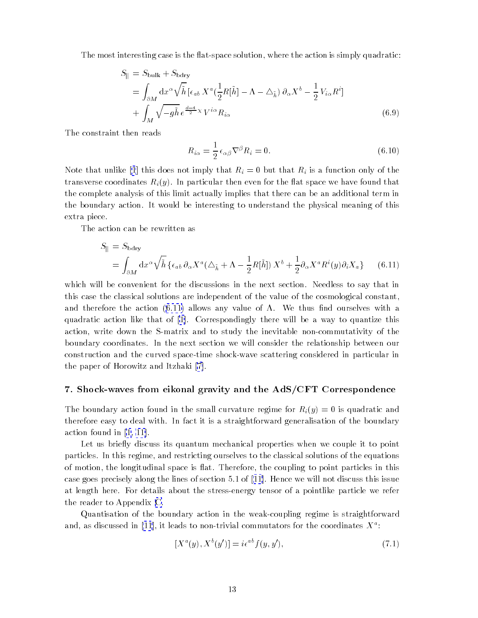<span id="page-13-0"></span>The most interesting case is the flat-space solution, where the action is simply quadratic:

$$
S_{\parallel} = S_{\text{bulk}} + S_{\text{bdry}}
$$
  
=  $\int_{\partial M} dx^{\alpha} \sqrt{\tilde{h}} \left[ \epsilon_{ab} X^{a} \left( \frac{1}{2} R[\tilde{h}] - \Lambda - \Delta_{\tilde{h}} \right) \partial_{\alpha} X^{b} - \frac{1}{2} V_{i\alpha} R^{i} \right]$   
+  $\int_{M} \sqrt{-g} \tilde{h} e^{\frac{d-4}{2} \chi} V^{i\alpha} R_{i\alpha}$  (6.9)

The constraint then reads

$$
R_{i\alpha} = \frac{1}{2} \epsilon_{\alpha\beta} \nabla^{\beta} R_i = 0.
$$
\n(6.10)

Note that unlike [[1](#page-26-0)] this does not imply that Ri = 0 but that Ri is a function only of the transverse coordinates  $R_i(y)$ . In particular then even for the flat space we have found that the complete analysis of this limit actually implies that there can be an additional term in the boundary action. It would be interesting to understand the physical meaning of this extra piece.

The action can be rewritten as

$$
S_{\parallel} = S_{\text{bdry}}
$$
  
=  $\int_{\partial M} dx^{\alpha} \sqrt{\tilde{h}} \left\{ \epsilon_{ab} \partial_{\alpha} X^{a} (\Delta_{\tilde{h}} + \Lambda - \frac{1}{2} R[\tilde{h}]) X^{b} + \frac{1}{2} \partial_{\alpha} X^{a} R^{i}(y) \partial_{i} X_{a} \right\}$  (6.11)

which will be convenient for the discussions in the next section. Needless to say that in this case the classical solutions are independent of the value of the cosmological constant, and therefore the action  $(6.11)$  allows any value of  $\Lambda$ . We thus find ourselves with a quadratic action like that of [\[1\]](#page-26-0). Correspondingly there will be a way to quantize this action, write down the S-matrix and to study the inevitable non-commutativity of the boundary coordinates. In the next section we will consider the relationship between our construction and the curved space-time shock-wave scattering considered in particular in the paper of Horowitz and Itzhaki [\[7\]](#page-26-0).

### 7. Shock-waves from eikonal gravity and the AdS/CFT Correspondence

The boundary action found in the small curvature regime for  $R_i(y) = 0$  is quadratic and therefore easy to deal with. In fact it is a straightforward generalisation of the boundary action found in [\[1](#page-26-0), [11\]](#page-26-0).

Let us briefly discuss its quantum mechanical properties when we couple it to point particles. In this regime, and restricting ourselves to the classical solutions of the equations of motion, the longitudinal space is flat. Therefore, the coupling to point particles in this case goes precisely along the lines of section 5.1 of [[11\]](#page-26-0). Hence we will not discuss this issue at length here. For details about the stress-energy tensor of a pointlike particle we refer the reader to Appendix [C.](#page-24-0)

Quantisation of the boundary action in the weak-coupling regime is straightforward and, as discussed in [\[11](#page-26-0)], it leads to non-trivial commutators for the coordinates  $A$   $\degree$ :

$$
[X^a(y), X^b(y')] = i\epsilon^{ab} f(y, y'),\tag{7.1}
$$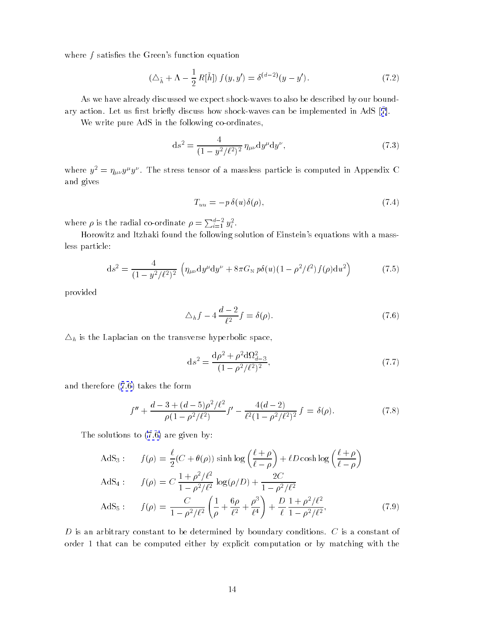<span id="page-14-0"></span>where  $f$  satisfies the Green's function equation

$$
(\triangle_{\tilde{h}} + \Lambda - \frac{1}{2} R[\tilde{h}]) f(y, y') = \delta^{(d-2)}(y - y'). \tag{7.2}
$$

As we have already discussed we expect shock-waves to also be described by our bound-ary action. Let us first briefly discuss how shock-waves can be implemented in AdS [[7\]](#page-26-0).

We write pure AdS in the following co-ordinates,

$$
ds^{2} = \frac{4}{(1 - y^{2}/\ell^{2})^{2}} \eta_{\mu\nu} dy^{\mu} dy^{\nu}, \qquad (7.3)
$$

where  $y^2 = \eta_{\mu\nu} y^\mu y^\nu$  . The stress tensor of a massless particle is computed in Appendix C and gives

$$
T_{uu} = -p \,\delta(u)\delta(\rho),\tag{7.4}
$$

where  $\rho$  is the radial co-ordinate  $\rho = \sum_{i=1}^{a-2} y_i^2$ .

Horowitz and Itzhaki found the following solution of Einstein's equations with a massless particle:

$$
ds^{2} = \frac{4}{(1 - y^{2}/\ell^{2})^{2}} \left( \eta_{\mu\nu} dy^{\mu} dy^{\nu} + 8\pi G_{N} p\delta(u) (1 - \rho^{2}/\ell^{2}) f(\rho) du^{2} \right)
$$
(7.5)

provided

$$
\Delta_h f - 4 \frac{d-2}{\ell^2} f = \delta(\rho). \tag{7.6}
$$

 $\Delta_h$  is the Laplacian on the transverse hyperbolic space,

$$
ds^{2} = \frac{d\rho^{2} + \rho^{2} d\Omega_{d-3}^{2}}{(1 - \rho^{2}/\ell^{2})^{2}},
$$
\n(7.7)

and therefore (7.6) takes the form

$$
f'' + \frac{d-3 + (d-5)\rho^2/\ell^2}{\rho(1-\rho^2/\ell^2)}f' - \frac{4(d-2)}{\ell^2(1-\rho^2/\ell^2)^2}f = \delta(\rho).
$$
 (7.8)

The solutions to (7.6) are given by:

AdS<sub>3</sub>: 
$$
f(\rho) = \frac{\ell}{2}(C + \theta(\rho)) \sinh \log \left(\frac{\ell + \rho}{\ell - \rho}\right) + \ell D \cosh \log \left(\frac{\ell + \rho}{\ell - \rho}\right)
$$
  
AdS<sub>4</sub>:  $f(\rho) = C \frac{1 + \rho^2/\ell^2}{1 - \rho^2/\ell^2} \log(\rho/D) + \frac{2C}{1 - \rho^2/\ell^2}$   
AdS<sub>5</sub>:  $f(\rho) = \frac{C}{1 - \rho^2/\ell^2} \left(\frac{1}{\rho} + \frac{6\rho}{\ell^2} + \frac{\rho^3}{\ell^4}\right) + \frac{D}{\ell} \frac{1 + \rho^2/\ell^2}{1 - \rho^2/\ell^2},$  (7.9)

 $D$  is an arbitrary constant to be determined by boundary conditions.  $C$  is a constant of order 1 that can be computed either by explicit computation or by matching with the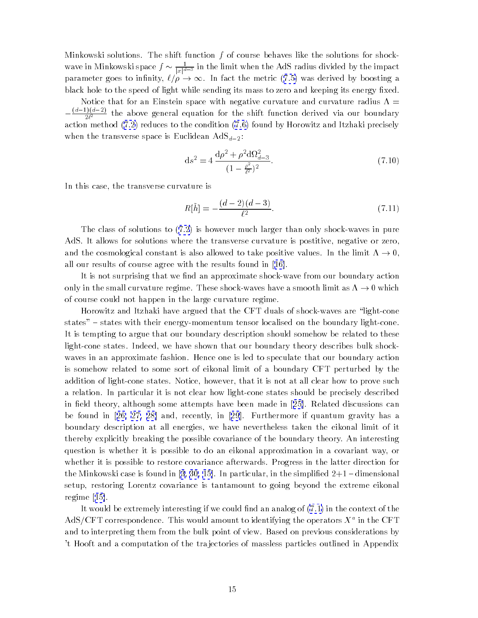Minkowski solutions. The shift function  $f$  of course behaves like the solutions for shockwave in Minkowski space  $f \sim \frac{1}{|x| \tilde{d}-3}$  in the limit when the AdS radius divided by the impact parameter goes to infinity,  $\ell/\rho \to \infty$ . In fact the metric ([7.5\)](#page-14-0) was derived by boosting a black hole to the speed of light while sending its mass to zero and keeping its energy fixed.

Notice that for an Einstein space with negative curvature and curvature radius  $\Lambda=$  $-\frac{\sqrt{3}-2}{2\ell^2}$  the above general equation for the shift function derived via our boundary action method [\(7.2](#page-14-0)) reduces to the condition [\(7.6\)](#page-14-0) found by Horowitz and Itzhaki precisely when the transverse space is Euclidean  $AdS_{d-2}$ :

$$
ds^{2} = 4 \frac{d\rho^{2} + \rho^{2} d\Omega_{d-3}^{2}}{(1 - \frac{\rho^{2}}{\ell^{2}})^{2}}.
$$
\n(7.10)

In this case, the transverse curvature is

$$
R[\tilde{h}] = -\frac{(d-2)(d-3)}{\ell^2}.
$$
\n(7.11)

The class of solutions to [\(7.2](#page-14-0)) is however much larger than only shock-waves in pure AdS. It allows for solutions where the transverse curvature is postitive, negative or zero, and the cosmological constant is also allowed to take positive values. In the limit  $\Lambda \to 0$ , all our results of course agree with the results found in [[16\]](#page-27-0).

It is not surprising that we find an approximate shock-wave from our boundary action only in the small curvature regime. These shock-waves have a smooth limit as  $\Lambda \to 0$  which of course could not happen in the large curvature regime.

Horowitz and Itzhaki have argued that the CFT duals of shock-waves are \light-cone states" – states with their energy-momentum tensor localised on the boundary light-cone. It is tempting to argue that our boundary description should somehow be related to these light-cone states. Indeed, we have shown that our boundary theory describes bulk shockwaves in an approximate fashion. Hence one is led to speculate that our boundary action is somehow related to some sort of eikonal limit of a boundary CFT perturbed by the addition of light-cone states. Notice, however, that it is not at all clear how to prove such a relation. In particular it is not clear how light-cone states should be precisely described in field theory, although some attempts have been made in  $[25]$  $[25]$ . Related discussions can be found in [[26, 27, 28\]](#page-27-0) and, recently, in [\[29\]](#page-27-0). Furthermore if quantum gravity has a boundary description at all energies, we have nevertheless taken the eikonal limit of it thereby explicitly breaking the possible covariance of the boundary theory. An interesting question is whether it is possible to do an eikonal approximation in a covariant way, or whether it is possible to restore covariance afterwards. Progress in the latter direction for the Minkowski case is found in [[3](#page-26-0), [30,](#page-27-0) [15\]](#page-26-0). In particular, in the simplified  $2+1$  -dimensional setup, restoring Lorentz covariance is tantamount to going beyond the extreme eikonal regime [[15\]](#page-26-0).

It would be extremely interesting if we could find an analog of  $(7.1)$  in the context of the AdS/CFT correspondence. This would amount to identifying the operators  $X^*$  in the CFT  $\,$ and to interpreting them from the bulk point of view. Based on previous considerations by 't Hooft and a computation of the tra jectories of massless particles outlined in Appendix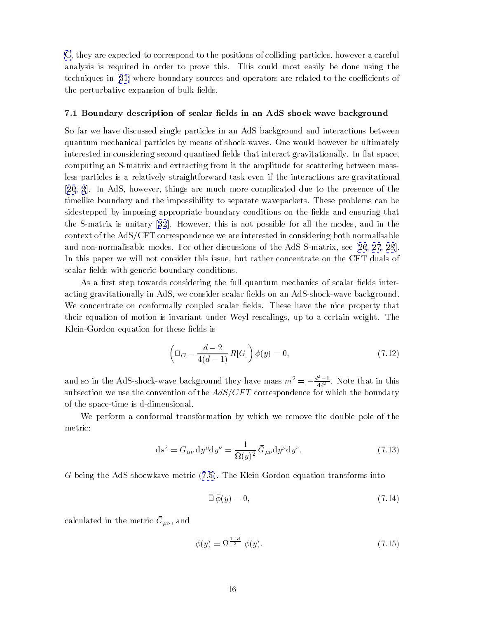<span id="page-16-0"></span>[C](#page-24-0), they are expected to correspond to the positions of colliding particles, however a careful analysis is required in order to prove this. This could most easily be done using the techniques in [\[31\]](#page-27-0) where boundary sources and operators are related to the coefficients of the perturbative expansion of bulk fields.

### 7.1 Boundary description of scalar fields in an AdS-shock-wave background

So far we have discussed single particles in an AdS background and interactions between quantum mechanical particles by means of shock-waves. One would however be ultimately interested in considering second quantised fields that interact gravitationally. In flat space, computing an S-matrix and extracting from it the amplitude for scattering between massless particles is a relatively straightforward task even if the interactions are gravitational [\[20](#page-27-0), [3](#page-26-0)]. In AdS, however, things are much more complicated due to the presence of the timelike boundary and the impossibility to separate wavepackets. These problems can be sidestepped by imposing appropriate boundary conditions on the fields and ensuring that the S-matrix is unitary [\[32\]](#page-27-0). However, this is not possible for all the modes, and in the context of the AdS/CFT correspondence we are interested in considering both normalisable and non-normalisable modes. For other discussions of the AdS S-matrix, see [\[26](#page-27-0), [27, 28\]](#page-27-0). In this paper we will not consider this issue, but rather concentrate on the CFT duals of scalar fields with generic boundary conditions.

As a first step towards considering the full quantum mechanics of scalar fields interacting gravitationally in AdS, we consider scalar fields on an AdS-shock-wave background. We concentrate on conformally coupled scalar fields. These have the nice property that their equation of motion is invariant under Weyl rescalings, up to a certain weight. The Klein-Gordon equation for these fields is

$$
\left(\Box_G - \frac{d-2}{4(d-1)} R[G]\right) \phi(y) = 0, \qquad (7.12)
$$

and so in the AdS-shock-wave background they have mass  $m^2 = -\frac{a^2-1}{4\ell^2}$ . Note that in this subsection we use the convention of the  $AdS/CFT$  correspondence for which the boundary of the space-time is d-dimensional.

We perform a conformal transformation by which we remove the double pole of the metric:

$$
\mathrm{d}s^2 = G_{\mu\nu} \,\mathrm{d}y^\mu \mathrm{d}y^\nu = \frac{1}{\Omega(y)^2} \,\bar{G}_{\mu\nu} \mathrm{d}y^\mu \mathrm{d}y^\nu,\tag{7.13}
$$

G being the AdS-shocwkave metric ([7.5](#page-14-0)). The Klein-Gordon equation transforms into

$$
\bar{\Box}\,\bar{\phi}(y) = 0,\tag{7.14}
$$

calculated in the inctile  $G_{\mu\nu}$ , and

$$
\bar{\phi}(y) = \Omega^{\frac{1-d}{2}} \phi(y). \tag{7.15}
$$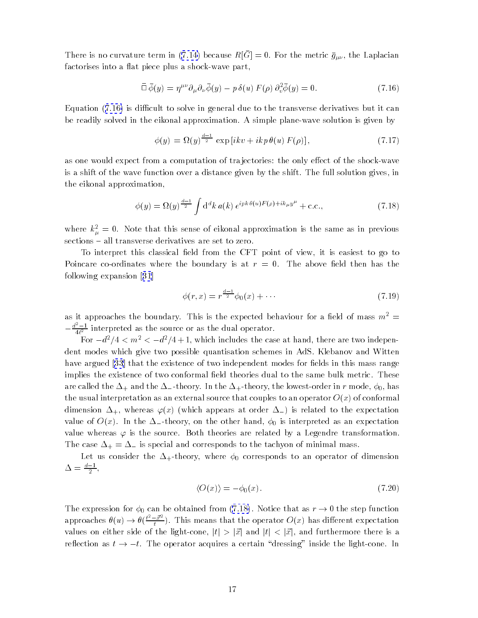<span id="page-17-0"></span>There is no curvature term in (1.14) because  $R[G] = 0$ . For the metric  $g_{\mu\nu}$ , the Laplacian factorises into a flat piece plus a shock-wave part,

$$
\overline{\Box}\,\overline{\phi}(y) = \eta^{\mu\nu}\partial_{\mu}\partial_{\nu}\overline{\phi}(y) - p\,\delta(u)\,F(\rho)\,\partial_{v}^{2}\overline{\phi}(y) = 0. \tag{7.16}
$$

Equation  $(7.16)$  is difficult to solve in general due to the transverse derivatives but it can be readily solved in the eikonal approximation. A simple plane-wave solution is given by

$$
\phi(y) = \Omega(y)^{\frac{d-1}{2}} \exp[ikv + ikp \theta(u) F(\rho)], \qquad (7.17)
$$

as one would expect from a computation of trajectories: the only effect of the shock-wave is a shift of the wave function over a distance given by the shift. The full solution gives, in the eikonal approximation,

$$
\phi(y) = \Omega(y)^{\frac{d-1}{2}} \int d^d k \, a(k) \, e^{ipk \theta(u) F(\rho) + ik_{\mu} y^{\mu}} + \text{c.c.}, \tag{7.18}
$$

where  $\kappa_{\mu}^{\ast}=0$ . Note that this sense of eikonal approximation is the same as in previous sections - all transverse derivatives are set to zero.

To interpret this classical field from the CFT point of view, it is easiest to go to Poincare co-ordinates where the boundary is at  $r = 0$ . The above field then has the following expansion [\[31\]](#page-27-0)

$$
\phi(r,x) = r^{\frac{d-1}{2}} \phi_0(x) + \cdots \tag{7.19}
$$

as it approaches the boundary. This is the expected behaviour for a field of mass  $m^2 =$  $-\frac{a^2-1}{4\ell^2}$  interpreted as the source or as the dual operator.

For  $-d^2/4 < m^2 < -d^2/4 + 1$ , which includes the case at hand, there are two independent modes which give two possible quantisation schemes in AdS. Klebanov and Witten have argued [\[33\]](#page-27-0) that the existence of two independent modes for fields in this mass range implies the existence of two conformal field theories dual to the same bulk metric. These are called the  $\Delta_+$  and the  $\Delta_-$ -theory. In the  $\Delta_+$ -theory, the lowest-order in r mode,  $\phi_0$ , has the usual interpretation as an external source that couples to an operator  $O(x)$  of conformal dimension  $\Delta_+$ , whereas  $\varphi(x)$  (which appears at order  $\Delta_-$ ) is related to the expectation value of  $O(x)$ . In the  $\Delta$ -theory, on the other hand,  $\phi_0$  is interpreted as an expectation value whereas  $\varphi$  is the source. Both theories are related by a Legendre transformation. The case  $\Delta_+ = \Delta_-$  is special and corresponds to the tachyon of minimal mass.

Let us consider the  $\Delta_{+}$ -theory, where  $\phi_0$  corresponds to an operator of dimension  $\Delta = \frac{2}{2},$ 

$$
\langle O(x) \rangle = -\phi_0(x). \tag{7.20}
$$

The expression for  $\phi_0$  can be obtained from (7.18). Notice that as  $r \to 0$  the step function approaches  $\theta(u) \to \theta(\frac{v-x}{t})$ . This means that the operator  $O(x)$  has different expectation tvalues on either side of the light-cone,  $|t| > |\vec{x}|$  and  $|t| < |\vec{x}|$ , and furthermore there is a reflection as  $t \to -t$ . The operator acquires a certain "dressing" inside the light-cone. In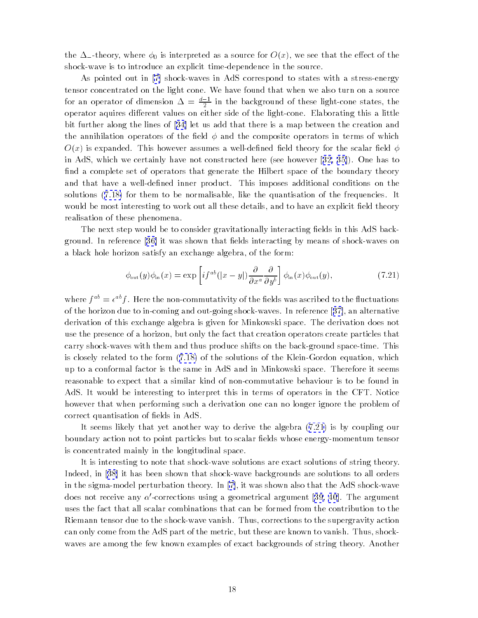the  $\Delta$ -theory, where  $\phi_0$  is interpreted as a source for  $O(x)$ , we see that the effect of the shock-wave is to introduce an explicit time-dependence in the source.

As pointed out in [\[7\]](#page-26-0) shock-waves in AdS correspond to states with a stress-energy tensor concentrated on the light cone. We have found that when we also turn on a source for an operator of dimension  $\Delta = \frac{2\pi-1}{2}$  in the background of these light-cone states, the operator aquires different values on either side of the light-cone. Elaborating this a little bit further along the lines of [\[34\]](#page-27-0) let us add that there is a map between the creation and the annihilation operators of the field  $\phi$  and the composite operators in terms of which  $O(x)$  is expanded. This however assumes a well-defined field theory for the scalar field  $\phi$ in AdS, which we certainly have not constructed here (see however [[32, 35\]](#page-27-0)). One has to find a complete set of operators that generate the Hilbert space of the boundary theory and that have a well-defined inner product. This imposes additional conditions on the solutions ([7.18\)](#page-17-0) for them to be normalisable, like the quantisation of the frequencies. It would be most interesting to work out all these details, and to have an explicit field theory realisation of these phenomena.

The next step would be to consider gravitationally interacting fields in this AdS background. In reference  $[36]$  $[36]$  it was shown that fields interacting by means of shock-waves on a black hole horizon satisfy an exchange algebra, of the form:

$$
\phi_{\text{out}}(y)\phi_{\text{in}}(x) = \exp\left[i f^{ab}(|x-y|)\frac{\partial}{\partial x^a}\frac{\partial}{\partial y^b}\right]\phi_{\text{in}}(x)\phi_{\text{out}}(y),\tag{7.21}
$$

where  $f^* = e^* f$ . Here the non-commutativity of the neigs was ascribed to the nuctuations of the horizon due to in-coming and out-going shock-waves. In reference [[37\]](#page-28-0), an alternative derivation of this exchange algebra is given for Minkowski space. The derivation does not use the presence of a horizon, but only the fact that creation operators create particles that carry shock-waves with them and thus produce shifts on the back-ground space-time. This is closely related to the form ([7.18\)](#page-17-0) of the solutions of the Klein-Gordon equation, which up to a conformal factor is the same in AdS and in Minkowski space. Therefore it seems reasonable to expect that a similar kind of non-commutative behaviour is to be found in AdS. It would be interesting to interpret this in terms of operators in the CFT. Notice however that when performing such a derivation one can no longer ignore the problem of correct quantisation of fields in AdS.

It seems likely that yet another way to derive the algebra (7.21) is by coupling our boundary action not to point particles but to scalar fields whose energy-momentum tensor is concentrated mainly in the longitudinal space.

It is interesting to note that shock-wave solutions are exact solutions of string theory. Indeed, in [\[38\]](#page-28-0) it has been shown that shock-wave backgrounds are solutions to all orders in the sigma-model perturbation theory. In [\[7\]](#page-26-0), it was shown also that the AdS shock-wave does not receive any  $\alpha'$ -corrections using a geometrical argument [\[39](#page-28-0), [40](#page-28-0)]. The argument uses the fact that all scalar combinations that can be formed from the contribution to the Riemann tensor due to the shock-wave vanish. Thus, corrections to the supergravity action can only come from the AdS part of the metric, but these are known to vanish. Thus, shockwaves are among the few known examples of exact backgrounds of string theory. Another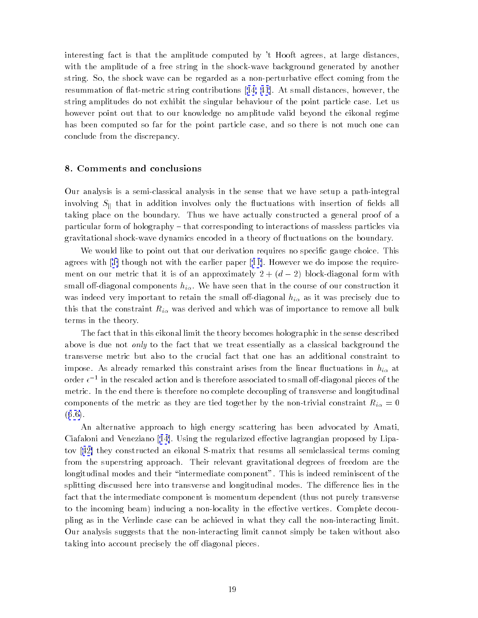interesting fact is that the amplitude computed by 't Hooft agrees, at large distances, with the amplitude of a free string in the shock-wave background generated by another string. So, the shock wave can be regarded as a non-perturbative effect coming from the resummation of flat-metric string contributions [[14,](#page-26-0) [41](#page-28-0)]. At small distances, however, the string amplitudes do not exhibit the singular behaviour of the point particle case. Let us however point out that to our knowledge no amplitude valid beyond the eikonal regime has been computed so far for the point particle case, and so there is not much one can conclude from the discrepancy.

### 8. Comments and conclusions

Our analysis is a semi-classical analysis in the sense that we have setup a path-integral involving  $S_{\parallel}$  that in addition involves only the fluctuations with insertion of fields all taking place on the boundary. Thus we have actually constructed a general proof of a particular form of holography – that corresponding to interactions of massless particles via gravitational shock-wave dynamics encoded in a theory of 
uctuations on the boundary.

We would like to point out that our derivation requires no specific gauge choice. This agrees with [\[1\]](#page-26-0) though not with the earlier paper [\[11\]](#page-26-0). However we do impose the requirement on our metric that it is of an approximately  $2 + (d - 2)$  block-diagonal form with small off-diagonal components  $h_{i\alpha}$ . We have seen that in the course of our construction it was indeed very important to retain the small o-diagonal higher the small o-diagonal higher the small o-diagonal higher the small o-diagonal higher the small o-diagonal higher the small o-diagonal higher the small o-diago  $t = t$  and we see that the constraint Ri was derived and which was derived and which was of importance to remove all bulk  $\Gamma$ terms in the theory.

The fact that in this eikonal limit the theory becomes holographic in the sense described above is due not *only* to the fact that we treat essentially as a classical background the transverse metric but also to the crucial fact that one has an additional constraint to impose. As already remarked this constraint arises from the linear 
uctuations in hi at order  $\epsilon$  – in the rescaled action and is therefore associated to small on-diagonal pieces of the metric. In the end there is therefore no complete decoupling of transverse and longitudinal components of the metric as they are times of the metric as they are trivial constraint  $\alpha$  = 0.01  $\alpha$  = 0.01  $\alpha$  = 0.01  $\alpha$  = 0.01  $\alpha$  = 0.01  $\alpha$  = 0.01  $\alpha$  = 0.01  $\alpha$  = 0.01  $\alpha$  = 0.01  $\alpha$  = 0.01  $\alpha$  = 0.01  $(6.6).$  $(6.6).$  $(6.6).$ 

An alternative approach to high energy scattering has been advocated by Amati, Ciafaloni and Veneziano [[14\]](#page-26-0). Using the regularized effective lagrangian proposed by Lipatov [[42\]](#page-28-0) they constructed an eikonal S-matrix that resums all semiclassical terms coming from the superstring approach. Their relevant gravitational degrees of freedom are the longitudinal modes and their "intermediate component". This is indeed reminiscent of the splitting discussed here into transverse and longitudinal modes. The difference lies in the fact that the intermediate component is momentum dependent (thus not purely transverse to the incoming beam) inducing a non-locality in the effective vertices. Complete decoupling as in the Verlinde case can be achieved in what they call the non-interacting limit. Our analysis suggests that the non-interacting limit cannot simply be taken without also taking into account precisely the off diagonal pieces.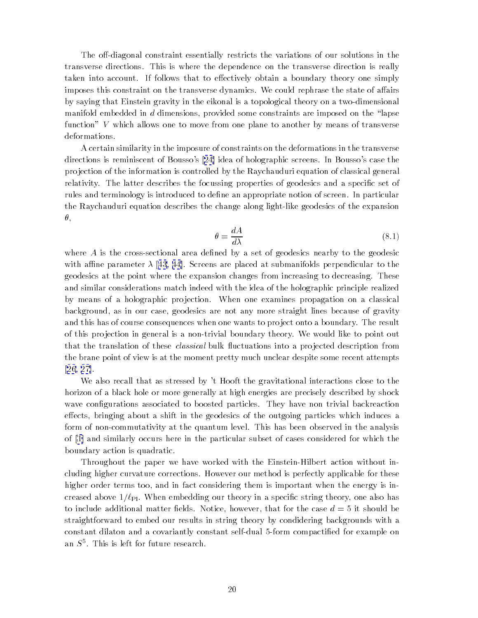The off-diagonal constraint essentially restricts the variations of our solutions in the transverse directions. This is where the dependence on the transverse direction is really taken into account. If follows that to effectively obtain a boundary theory one simply imposes this constraint on the transverse dynamics. We could rephrase the state of affairs by saying that Einstein gravity in the eikonal is a topological theory on a two-dimensional manifold embedded in d dimensions, provided some constraints are imposed on the "lapse function" V which allows one to move from one plane to another by means of transverse deformations.

A certain similarity in the imposure of constraints on the deformations in the transverse directions is reminiscent of Bousso's [\[24\]](#page-27-0) idea of holographic screens. In Bousso's case the projection of the information is controlled by the Raychauduri equation of classical general relativity. The latter describes the focussing properties of geodesics and a specific set of rules and terminology is introduced to define an appropriate notion of screen. In particular the Raychauduri equation describes the change along light-like geodesics of the expansion  $\theta,$ 

$$
\theta = \frac{dA}{d\lambda} \tag{8.1}
$$

where  $A$  is the cross-sectional area defined by a set of geodesics nearby to the geodesic with affine parameter  $\lambda$  [\[43](#page-28-0), [44\]](#page-28-0). Screens are placed at submanifolds perpendicular to the geodesics at the point where the expansion changes from increasing to decreasing. These and similar considerations match indeed with the idea of the holographic principle realized by means of a holographic projection. When one examines propagation on a classical background, as in our case, geodesics are not any more straight lines because of gravity and this has of course consequences when one wants to project onto a boundary. The result of this pro jection in general is a non-trivial boundary theory. We would like to point out that the translation of these *classical* bulk fluctuations into a projected description from the brane point of view is at the moment pretty much unclear despite some recent attempts [\[26](#page-27-0), [27\]](#page-27-0).

We also recall that as stressed by 't Hooft the gravitational interactions close to the horizon of a black hole or more generally at high energies are precisely described by shock wave configurations associated to boosted particles. They have non trivial backreaction effects, bringing about a shift in the geodesics of the outgoing particles which induces a form of non-commutativity at the quantum level. This has been observed in the analysis of [\[1\]](#page-26-0) and similarly occurs here in the particular subset of cases considered for which the boundary action is quadratic.

Throughout the paper we have worked with the Einstein-Hilbert action without including higher curvature corrections. However our method is perfectly applicable for these higher order terms too, and in fact considering them is important when the energy is increased above  $1/\ell_{\rm Pl}$ . When embedding our theory in a specific string theory, one also has to include additional matter fields. Notice, however, that for the case  $d=5$  it should be straightforward to embed our results in string theory by condidering backgrounds with a constant dilaton and a covariantly constant self-dual 5-form compactied for example on an 5 °. I his is left for future research.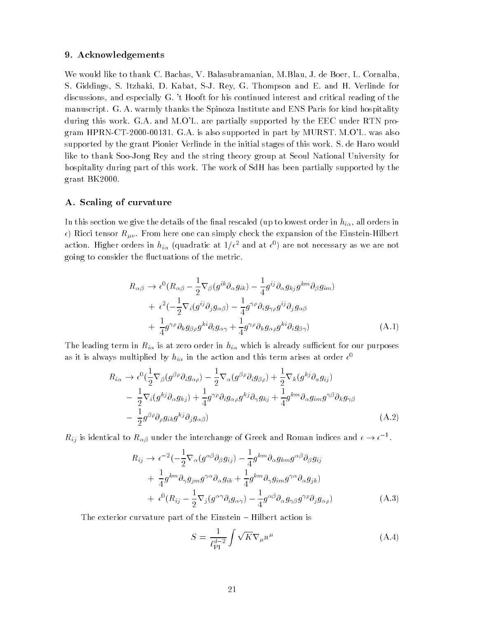### 9. Acknowledgements

We would like to thank C. Bachas, V. Balasubramanian, M.Blau, J. de Boer, L. Cornalba, S. Giddings, S. Itzhaki, D. Kabat, S-J. Rey, G. Thompson and E. and H. Verlinde for discussions, and especially G. 't Hooft for his continued interest and critical reading of the manuscript. G. A. warmly thanks the Spinoza Institute and ENS Paris for kind hospitality during this work. G.A. and M.O'L. are partially supported by the EEC under RTN program HPRN-CT-2000-00131. G.A. is also supported in part by MURST. M.O'L. was also supported by the grant Pionier Verlinde in the initial stages of this work. S. de Haro would like to thank Soo-Jong Rey and the string theory group at Seoul National University for hospitality during part of this work. The work of SdH has been partially supported by the grant BK2000.

### A. Scaling of curvature

In this section we give the details of the final rescaled (up to lowest order in  $h_{i\alpha}$ , all orders in ) ricci tensor riggs recommended the expansion  $\mathbb{R}^n$  check the expansion of the Einstein-Hilbert action. Higher orders in  $n_{i\alpha}$  (quadratic at 1/ $\epsilon$  and at  $\epsilon$  ) are not necessary as we are not going to consider the 
uctuations of the metric.

$$
R_{\alpha\beta} \rightarrow \epsilon^0 (R_{\alpha\beta} - \frac{1}{2} \nabla_{\beta} (g^{ik} \partial_{\alpha} g_{ik}) - \frac{1}{4} g^{ij} \partial_{\alpha} g_{kj} g^{km} \partial_{\beta} g_{im})
$$
  
+ 
$$
\epsilon^2 (-\frac{1}{2} \nabla_i (g^{ij} \partial_j g_{\alpha\beta}) - \frac{1}{4} g^{\gamma \rho} \partial_i g_{\gamma \rho} g^{ij} \partial_j g_{\alpha\beta}
$$
  
+ 
$$
\frac{1}{4} g^{\gamma \rho} \partial_k g_{\beta \rho} g^{ki} \partial_i g_{\alpha \gamma} + \frac{1}{4} g^{\gamma \rho} \partial_k g_{\alpha \rho} g^{ki} \partial_i g_{\beta \gamma})
$$
(A.1)

The leading term in Rigg is at 2000 to 2000 in high which is already successful for our purposes such as it is always multiplied by  $n_{i\alpha}$  in the action and this term arises at order  $\epsilon^-$ 

$$
R_{i\alpha} \rightarrow \epsilon^0 \left(\frac{1}{2} \nabla_\beta (g^{\beta \rho} \partial_i g_{\alpha \rho}) - \frac{1}{2} \nabla_\alpha (g^{\beta \rho} \partial_i g_{\beta \rho}) + \frac{1}{2} \nabla_k (g^{kj} \partial_a g_{ij})\right) - \frac{1}{2} \nabla_i (g^{kj} \partial_\alpha g_{kj}) + \frac{1}{4} g^{\gamma \rho} \partial_i g_{\alpha \rho} g^{kj} \partial_\gamma g_{kj} + \frac{1}{4} g^{km} \partial_\alpha g_{im} g^{\gamma \beta} \partial_k g_{\gamma \beta} - \frac{1}{2} g^{\beta \rho} \partial_\rho g_{ik} g^{kj} \partial_j g_{\alpha \beta}
$$
\n(A.2)

 $R_{ij}$  is identical to  $R_{\alpha\beta}$  under the interchange of Greek and Roman indices and  $\epsilon\to\epsilon^{-1}.$ 

$$
R_{ij} \rightarrow \epsilon^{-2} \left(-\frac{1}{2} \nabla_{\alpha} (g^{\alpha \beta} \partial_{\beta} g_{ij}) - \frac{1}{4} g^{km} \partial_{\alpha} g_{km} g^{\alpha \beta} \partial_{\beta} g_{ij}\right.+ \frac{1}{4} g^{km} \partial_{\gamma} g_{jm} g^{\gamma \alpha} \partial_{\alpha} g_{ik} + \frac{1}{4} g^{km} \partial_{\gamma} g_{im} g^{\gamma \alpha} \partial_{\alpha} g_{jk}\right)+ \epsilon^{0} (R_{ij} - \frac{1}{2} \nabla_{j} (g^{\alpha \gamma} \partial_{i} g_{\alpha \gamma}) - \frac{1}{4} g^{\alpha \beta} \partial_{\alpha} g_{\gamma \beta} g^{\gamma \rho} \partial_{j} g_{\alpha \rho})
$$
(A.3)

The exterior curvature part of the  $\rm Einstein-Hilbert$  action is

$$
S = \frac{1}{\ell_{\rm Pl}^{d-2}} \int \sqrt{K} \nabla_{\mu} n^{\mu} \tag{A.4}
$$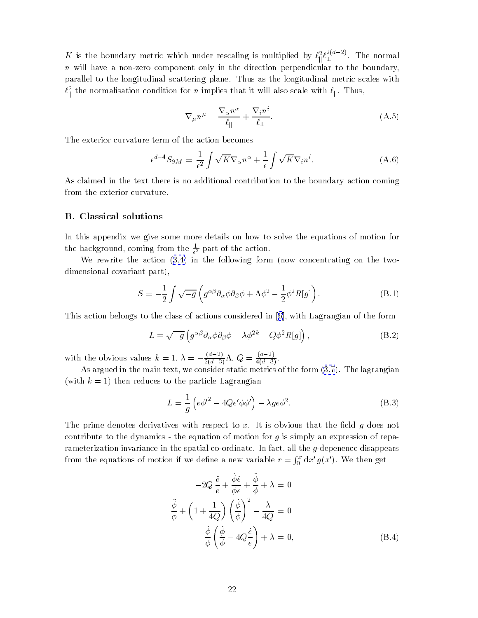K is the boundary metric which under rescaling is multiplied by  $\ell_{\parallel}^{\alpha} \ell_{\perp}^{n-\alpha}$  . The normal  $n$  will have a non-zero component only in the direction perpendicular to the boundary, parallel to the longitudinal scattering plane. Thus as the longitudinal metric scales with  $\iota_{\bar{0}}$  the normalisation condition for n implies that it will also scale with  $\iota_{\|}$ . Thus,

$$
\nabla_{\mu} n^{\mu} = \frac{\nabla_{\alpha} n^{\alpha}}{\ell_{\parallel}} + \frac{\nabla_{i} n^{i}}{\ell_{\perp}}.
$$
\n(A.5)

The exterior curvature term of the action becomes

$$
\epsilon^{d-4} S_{\partial M} = \frac{1}{\epsilon^2} \int \sqrt{K} \nabla_\alpha n^\alpha + \frac{1}{\epsilon} \int \sqrt{K} \nabla_i n^i.
$$
 (A.6)

As claimed in the text there is no additional contribution to the boundary action coming from the exterior curvature.

### B. Classical solutions

ka kacamatan ing Kabupatèn Kabupatèn Kabupatèn Kabupatèn Kabupatèn Kabupatèn Kabupatèn Kabupatèn Kabupatèn Ka

In this appendix we give some more details on how to solve the equations of motion for the background, coming from the  $\frac{1}{\epsilon^2}$  part of the action.

We rewrite the action ([3.4](#page-5-0)) in the following form (now concentrating on the twodimensional covariant part),

$$
S = -\frac{1}{2} \int \sqrt{-g} \left( g^{\alpha \beta} \partial_{\alpha} \phi \partial_{\beta} \phi + \Lambda \phi^2 - \frac{1}{2} \phi^2 R[g] \right). \tag{B.1}
$$

This action belongs to the class of actions considered in [[6\]](#page-26-0), with Lagrangian of the form

$$
L = \sqrt{-g} \left( g^{\alpha \beta} \partial_{\alpha} \phi \partial_{\beta} \phi - \lambda \phi^{2k} - Q \phi^2 R[g] \right), \tag{B.2}
$$

with the obvious values  $k = 1, \lambda = -\frac{\lambda^2}{2(d-3)}\Lambda, Q = \frac{\lambda^2}{4(d-3)}$ .

As argued in the main text, we consider static metrics of the form [\(3.7](#page-6-0)). The lagrangian (with  $k = 1$ ) then reduces to the particle Lagrangian

$$
L = \frac{1}{g} \left( e \phi'^2 - 4Q e' \phi \phi' \right) - \lambda g e \phi^2.
$$
 (B.3)

The prime denotes derivatives with respect to x. It is obvious that the field  $g$  does not contribute to the dynamics - the equation of motion for  $g$  is simply an expression of reparameterization invariance in the spatial co-ordinate. In fact, all the g-depenence disappears from the equations of motion if we dene a new variable r =  $\int_0^x {\rm d} x' \, g(x')$ . We then get

$$
-2Q\frac{\ddot{e}}{e} + \frac{\dot{\phi}\dot{e}}{\phi} + \frac{\ddot{\phi}}{\phi} + \lambda = 0
$$
  

$$
\frac{\ddot{\phi}}{\phi} + \left(1 + \frac{1}{4Q}\right)\left(\frac{\dot{\phi}}{\phi}\right)^2 - \frac{\lambda}{4Q} = 0
$$
  

$$
\frac{\dot{\phi}}{\phi}\left(\frac{\dot{\phi}}{\phi} - 4Q\frac{\dot{e}}{e}\right) + \lambda = 0,
$$
 (B.4)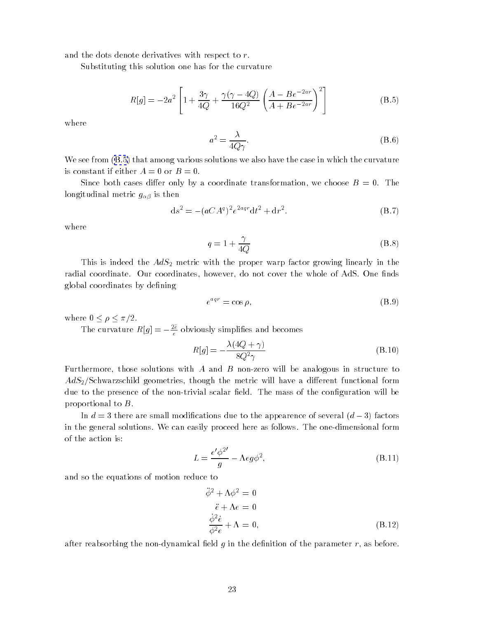and the dots denote derivatives with respect to r.

Substituting this solution one has for the curvature

$$
R[g] = -2a^2 \left[ 1 + \frac{3\gamma}{4Q} + \frac{\gamma(\gamma - 4Q)}{16Q^2} \left( \frac{A - Be^{-2ar}}{A + Be^{-2ar}} \right)^2 \right]
$$
(B.5)

where

$$
a^2 = \frac{\lambda}{4Q\gamma}.\tag{B.6}
$$

We see from (B.5) that among various solutions we also have the case in which the curvature is constant if either  $A = 0$  or  $B = 0$ .

Since both cases differ only by a coordinate transformation, we choose  $B = 0$ . The longitudinal metric graduate  $\mathcal{L}$  is the set of the number of the number of the number of the number of the number of the number of the number of the number of the number of the number of the number of the number of t

$$
ds^{2} = -(aCA^{q})^{2}e^{2aqr}dt^{2} + dr^{2}.
$$
 (B.7)

where

$$
q = 1 + \frac{\gamma}{4Q} \tag{B.8}
$$

This is indeed the  $AdS_2$  metric with the proper warp factor growing linearly in the radial coordinate. Our coordinates, however, do not cover the whole of AdS. One finds global coordinates by defining

$$
e^{aqr} = \cos \rho, \tag{B.9}
$$

where  $0 \leq \rho \leq \pi/2$ .

The curvature  $R[g] = -\frac{2\pi}{e}$  obviously simplifies and becomes

$$
R[g] = -\frac{\lambda(4Q + \gamma)}{8Q^2\gamma} \tag{B.10}
$$

Furthermore, those solutions with  $A$  and  $B$  non-zero will be analogous in structure to  $AdS<sub>2</sub>/Schwarzschild geometries, though the metric will have a different functional form$ due to the presence of the non-trivial scalar field. The mass of the configuration will be proportional to B.

In  $d=3$  there are small modifications due to the appearence of several  $(d-3)$  factors in the general solutions. We can easily proceed here as follows. The one-dimensional form of the action is:

$$
L = \frac{e'\phi^{2'}}{g} - \Lambda eg\phi^2,\tag{B.11}
$$

and so the equations of motion reduce to

$$
\ddot{\phi}^2 + \Lambda \phi^2 = 0
$$
  
\n
$$
\ddot{e} + \Lambda e = 0
$$
  
\n
$$
\frac{\dot{\phi}^2 \dot{e}}{\phi^2 e} + \Lambda = 0,
$$
  
\n(B.12)

after reabsorbing the non-dynamical field  $g$  in the definition of the parameter  $r$ , as before.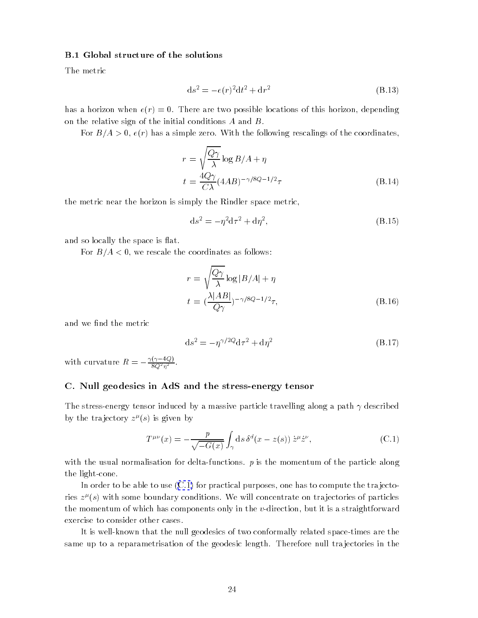### <span id="page-24-0"></span>B.1 Global structure of the solutions

The metric

$$
ds^2 = -e(r)^2 dt^2 + dr^2
$$
 (B.13)

has a horizon when  $e(r) = 0$ . There are two possible locations of this horizon, depending on the relative sign of the initial conditions A and B.

For  $B/A > 0$ ,  $e(r)$  has a simple zero. With the following rescalings of the coordinates,

$$
r = \sqrt{\frac{Q\gamma}{\lambda}} \log B/A + \eta
$$
  

$$
t = \frac{4Q\gamma}{C\lambda} (4AB)^{-\gamma/8Q - 1/2} \tau
$$
 (B.14)

the metric near the horizon is simply the Rindler space metric,

$$
ds^{2} = -\eta^{2} d\tau^{2} + d\eta^{2}, \qquad (B.15)
$$

and so locally the space is flat.

For  $B/A < 0$ , we rescale the coordinates as follows:

$$
r = \sqrt{\frac{Q\gamma}{\lambda}} \log |B/A| + \eta
$$
  

$$
t = (\frac{\lambda |AB|}{Q\gamma})^{-\gamma/8Q - 1/2}\tau,
$$
 (B.16)

and we find the metric

$$
\mathrm{d}s^2 = -\eta^{\gamma/2Q}\mathrm{d}\tau^2 + \mathrm{d}\eta^2\tag{B.17}
$$

with curvature  $K = -\frac{K(T-1)\epsilon}{8Q^2n^2}$ .

### C. Null geodesics in AdS and the stress-energy tensor

The stress-energy tensor induced by a massive particle travelling along a path  $\gamma$  described by the trajectory  $z^{\mu}(s)$  is given by

$$
T^{\mu\nu}(x) = -\frac{p}{\sqrt{-G(x)}} \int_{\gamma} ds \, \delta^d(x - z(s)) \, \dot{z}^{\mu} \dot{z}^{\nu}, \tag{C.1}
$$

with the usual normalisation for delta-functions.  $p$  is the momentum of the particle along the light-cone.

In order to be able to use  $(C.1)$  for practical purposes, one has to compute the trajectories  $z^{\mu}(s)$  with some boundary conditions. We will concentrate on trajectories of particles the momentum of which has components only in the v-direction, but it is a straightforward exercise to consider other cases.

It is well-known that the null geodesics of two conformally related space-times are the same up to a reparametrisation of the geodesic length. Therefore null tra jectories in the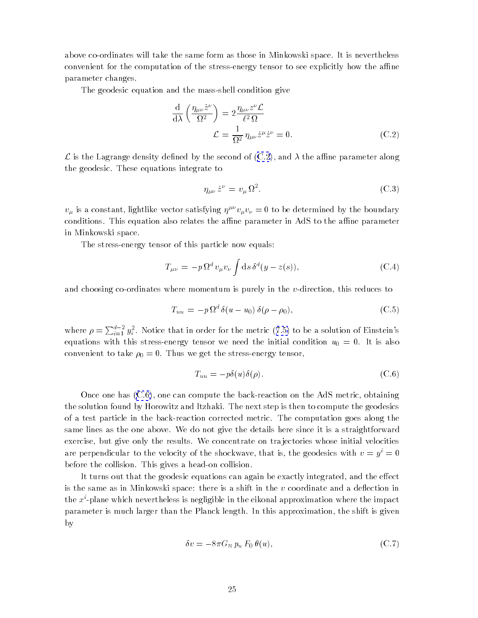above co-ordinates will take the same form as those in Minkowski space. It is nevertheless convenient for the computation of the stress-energy tensor to see explicitly how the affine parameter changes.

The geodesic equation and the mass-shell condition give

$$
\frac{\mathrm{d}}{\mathrm{d}\lambda} \left( \frac{\eta_{\mu\nu} \dot{z}^{\nu}}{\Omega^2} \right) = 2 \frac{\eta_{\mu\nu} z^{\nu} \mathcal{L}}{\ell^2 \Omega}
$$
\n
$$
\mathcal{L} = \frac{1}{\Omega^2} \eta_{\mu\nu} \dot{z}^{\mu} \dot{z}^{\nu} = 0. \tag{C.2}
$$

 $\mathcal L$  is the Lagrange density defined by the second of (C.2), and  $\lambda$  the affine parameter along the geodesic. These equations integrate to

$$
\eta_{\mu\nu} \dot{z}^{\nu} = v_{\mu} \Omega^2. \tag{C.3}
$$

 $v_\mu$  is a constant, lightlike vector satisfying  $\eta^{\mu\nu}v_\mu v_\nu=0$  to be determined by the boundary conditions. This equation also relates the affine parameter in AdS to the affine parameter in Minkowski space.

The stress-energy tensor of this particle now equals:

$$
T_{\mu\nu} = -p \Omega^d v_\mu v_\nu \int \mathrm{d}s \,\delta^d(y - z(s)), \tag{C.4}
$$

and choosing co-ordinates where momentum is purely in the v-direction, this reduces to

$$
T_{uu} = -p \Omega^d \delta(u - u_0) \delta(\rho - \rho_0), \qquad (C.5)
$$

where  $\rho = \sum_{i=1}^{a-2} y_i^2$ . Notice that in order for the metric ([7.5\)](#page-14-0) to be a solution of Einstein's equations with this stress-energy tensor we need the initial condition  $u_0 = 0$ . It is also convenient to take  $\rho_0 = 0$ . Thus we get the stress-energy tensor,

$$
T_{uu} = -p\delta(u)\delta(\rho). \tag{C.6}
$$

Once one has (C.6), one can compute the back-reaction on the AdS metric, obtaining the solution found by Horowitz and Itzhaki. The next step is then to compute the geodesics of a test particle in the back-reaction corrected metric. The computation goes along the same lines as the one above. We do not give the details here since it is a straightforward exercise, but give only the results. We concentrate on tra jectories whose initial velocities are perpendicular to the velocity of the shockwave, that is, the geodesics with  $v = y^* = 0$ before the collision. This gives a head-on collision.

It turns out that the geodesic equations can again be exactly integrated, and the effect is the same as in Minkowski space: there is a shift in the  $v$  coordinate and a deflection in the  $x^{i}$ -plane which nevertheless is negligible in the eikonal approximation where the impact parameter is much larger than the Planck length. In this approximation, the shift is given by

$$
\delta v = -8\pi G_{\rm N} p_u F_0 \theta(u), \qquad (C.7)
$$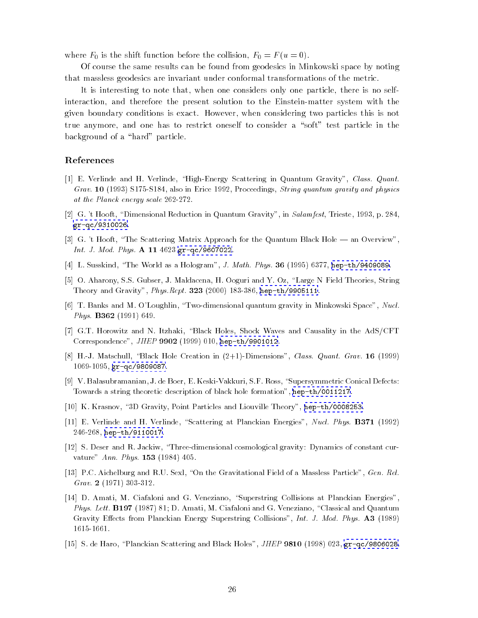<span id="page-26-0"></span>where  $F_0$  is the shift function before the collision,  $F_0 = F(u = 0)$ .

Of course the same results can be found from geodesics in Minkowski space by noting that massless geodesics are invariant under conformal transformations of the metric.

It is interesting to note that, when one considers only one particle, there is no selfinteraction, and therefore the present solution to the Einstein-matter system with the given boundary conditions is exact. However, when considering two particles this is not true anymore, and one has to restrict oneself to consider a "soft" test particle in the background of a "hard" particle.

### References

- [1] E. Verlinde and H. Verlinde, "High-Energy Scattering in Quantum Gravity", Class. Quant. Grav. 10 (1993) S175-S184, also in Erice 1992, Proceedings, String quantum gravity and physics at the Planck energy scale 262-272.
- [2] G. 't Hooft, "Dimensional Reduction in Quantum Gravity", in Salamfest, Trieste, 1993, p. 284, [gr-qc/9310026.](http://arXiv.org/abs/gr-qc/9310026)
- [3] G. 't Hooft, "The Scattering Matrix Approach for the Quantum Black Hole an Overview", Int. J. Mod. Phys. A 11 4623 [gr-qc/9607022](http://arXiv.org/abs/gr-qc/9607022).
- [4] L. Susskind, "The World as a Hologram", J. Math. Phys. 36 (1995) 6377, [hep-th/9409089.](http://arXiv.org/abs/hep-th/9409089)
- [5] O. Aharony, S.S. Gubser, J. Maldacena, H. Ooguri and Y. Oz, \Large N Field Theories, String Theory and Gravity", Phys.Rept. 323 (2000) 183-386, [hep-th/9905111](http://arXiv.org/abs/hep-th/9905111).
- [6] T. Banks and M. O'Loughlin, \Two-dimensional quantum gravity in Minkowski Space", Nucl. Phys. **B362** (1991) 649.
- [7] G.T. Horowitz and N. Itzhaki, "Black Holes, Shock Waves and Causality in the AdS/CFT Correspondence", JHEP 9902 (1999) 010, [hep-th/9901012](http://arXiv.org/abs/hep-th/9901012).
- [8] H.-J. Matschull, \Black Hole Creation in (2+1)-Dimensions", Class. Quant. Grav. 16 (1999) 1069-1095, [gr-qc/9809087](http://arXiv.org/abs/gr-qc/9809087).
- [9] V. Balasubramanian, J. de Boer, E. Keski-Vakkuri, S.F. Ross, \Supersymmetric Conical Defects: Towards a string theoretic description of black hole formation", [hep-th/0011217.](http://arXiv.org/abs/hep-th/0011217)
- [10] K. Krasnov, \3D Gravity, Point Particles and Liouville Theory", [hep-th/0008253.](http://arXiv.org/abs/hep-th/0008253)
- [11] E. Verlinde and H. Verlinde, "Scattering at Planckian Energies", Nucl. Phys. **B371** (1992) 246-268, [hep-th/9110017.](http://arXiv.org/abs/hep-th/9110017)
- [12] S. Deser and R. Jackiw, \Three-dimensional cosmological gravity: Dynamics of constant curvature" Ann. Phys. 153 (1984) 405.
- [13] P.C. Aichelburg and R.U. Sexl, "On the Gravitational Field of a Massless Particle", Gen. Rel. Grav. 2 (1971) 303-312.
- [14] D. Amati, M. Ciafaloni and G. Veneziano, "Superstring Collisions at Planckian Energies", *Phys. Lett.* **B197** (1987) 81; D. Amati, M. Ciafaloni and G. Veneziano, "Classical and Quantum Gravity Effects from Planckian Energy Superstring Collisions", Int. J. Mod. Phys. A3 (1989) 1615-1661.
- [15] S. de Haro, "Planckian Scattering and Black Holes",  $JHEP$  9810 (1998) 023,  $gr-qc/9806028$ .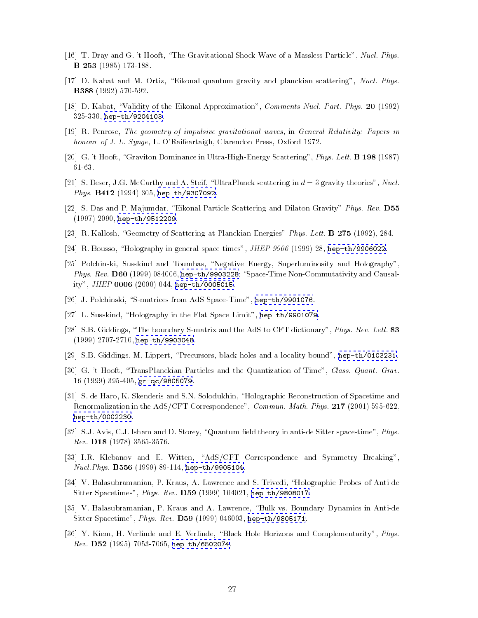- <span id="page-27-0"></span>[16] T. Dray and G. 't Hooft, \The Gravitational Shock Wave of a Massless Particle", Nucl. Phys. B 253 (1985) 173-188.
- [17] D. Kabat and M. Ortiz, "Eikonal quantum gravity and planckian scattering", Nucl. Phys. B388 (1992) 570-592.
- [18] D. Kabat, "Validity of the Eikonal Approximation", Comments Nucl. Part. Phys. 20 (1992) 325-336, [hep-th/9204103.](http://arXiv.org/abs/hep-th/9204103)
- [19] R. Penrose, The geometry of impulsive gravitational waves, in General Relativity: Papers in honour of J. L. Synge, L. O'Raifeartaigh, Clarendon Press, Oxford 1972.
- [20] G. 't Hooft, "Graviton Dominance in Ultra-High-Energy Scattering", Phys. Lett. B 198 (1987)  $61-63.$
- [21] S. Deser, J.G. McCarthy and A. Steif, "UltraPlanck scattering in  $d = 3$  gravity theories", Nucl. Phys. B412 (1994) 305, [hep-th/9307092](http://arXiv.org/abs/hep-th/9307092).
- [22] S. Das and P. Majumdar, "Eikonal Particle Scattering and Dilaton Gravity" Phys. Rev. D55 (1997) 2090, [hep-th/9512209](http://arXiv.org/abs/hep-th/9512209).
- [23] R. Kallosh, "Geometry of Scattering at Planckian Energies" Phys. Lett. **B 275** (1992), 284.
- [24] R. Bousso, "Holography in general space-times",  $JHEP$  9906 (1999) 28, [hep-th/9906022.](http://arXiv.org/abs/hep-th/9906022)
- [25] Polchinski, Susskind and Toumbas, "Negative Energy, Superluminosity and Holography", Phys. Rev.  $D60$  (1999) 084006, [hep-th/9903228](http://arXiv.org/abs/hep-th/9903228); "Space-Time Non-Commutativity and Causality", JHEP 0006 (2000) 044, [hep-th/0005015.](http://arXiv.org/abs/hep-th/0005015)
- [26] J. Polchinski, "S-matrices from AdS Space-Time", [hep-th/9901076.](http://arXiv.org/abs/hep-th/9901076)
- [27] L. Susskind, "Holography in the Flat Space Limit", [hep-th/9901079.](http://arXiv.org/abs/hep-th/9901079)
- [28] S.B. Giddings, "The boundary S-matrix and the AdS to CFT dictionary", Phys. Rev. Lett. 83 (1999) 2707-2710, [hep-th/9903048](http://arXiv.org/abs/hep-th/9903048).
- [29] S.B. Giddings, M. Lippert, \Precursors, black holes and a locality bound", [hep-th/0103231.](http://arXiv.org/abs/hep-th/0103231)
- [30] G. 't Hooft, "TransPlanckian Particles and the Quantization of Time", Class. Quant. Grav. 16 (1999) 395-405, [gr-qc/9805079](http://arXiv.org/abs/gr-qc/9805079).
- [31] S. de Haro, K. Skenderis and S.N. Solodukhin, "Holographic Reconstruction of Spacetime and Renormalization in the AdS/CFT Correspondence", Commun. Math. Phys. 217 (2001) 595-622, [hep-th/0002230](http://arXiv.org/abs/hep-th/0002230).
- [32] S.J. Avis, C.J. Isham and D. Storey, "Quantum field theory in anti-de Sitter space-time", Phys.  $Rev.$  D18 (1978) 3565-3576.
- [33] I.R. Klebanov and E. Witten, "AdS/CFT Correspondence and Symmetry Breaking", Nucl.Phys. B556 (1999) 89-114, [hep-th/9905104](http://arXiv.org/abs/hep-th/9905104).
- [34] V. Balasubramanian, P. Kraus, A. Lawrence and S. Trivedi, "Holographic Probes of Anti-de Sitter Spacetimes", Phys. Rev. D59 (1999) 104021, [hep-th/9808017.](http://arXiv.org/abs/hep-th/9808017)
- [35] V. Balasubramanian, P. Kraus and A. Lawrence, "Bulk vs. Boundary Dynamics in Anti-de Sitter Spacetime", Phys. Rev. D59 (1999) 046003, [hep-th/9805171](http://arXiv.org/abs/hep-th/9805171).
- [36] Y. Kiem, H. Verlinde and E. Verlinde, "Black Hole Horizons and Complementarity", Phys.  $Rev.$  D52 (1995) 7053-7065, [hep-th/6502074](http://arXiv.org/abs/hep-th/6502074).